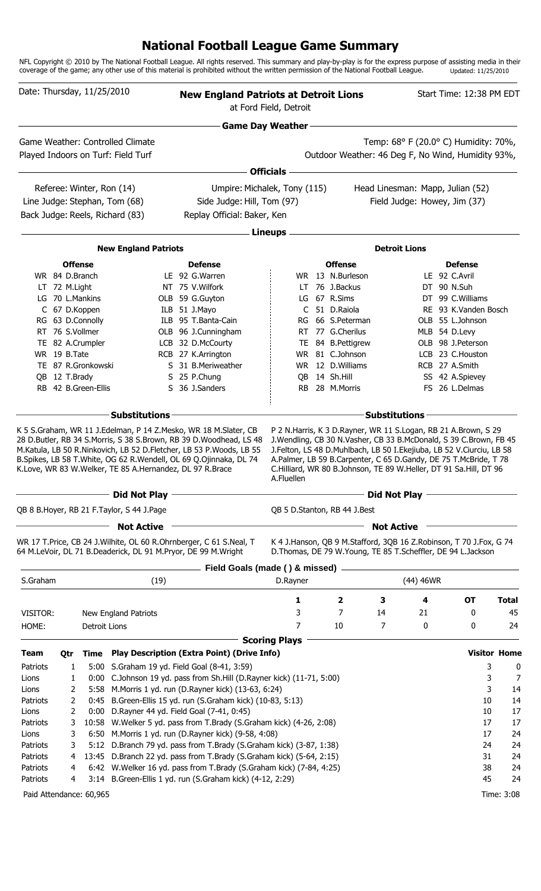## **National Football League Game Summary**

NFL Copyright © 2010 by The National Football League. All rights reserved. This summary and play-by-play is for the express purpose of assisting media in their coverage of the game; any other use of this material is prohibited without the written permission of the National Football League. Updated: 11/25/2010

| Date: Thursday, 11/25/2010 |                |                     |                                                                        | <b>New England Patriots at Detroit Lions</b>                                                                                                                                                                   | at Ford Field, Detroit |                                   |                      |             | Start Time: 12:38 PM EDT                                                                                                                                                                                                                                                           |                     |
|----------------------------|----------------|---------------------|------------------------------------------------------------------------|----------------------------------------------------------------------------------------------------------------------------------------------------------------------------------------------------------------|------------------------|-----------------------------------|----------------------|-------------|------------------------------------------------------------------------------------------------------------------------------------------------------------------------------------------------------------------------------------------------------------------------------------|---------------------|
|                            |                |                     |                                                                        | <b>Game Day Weather</b>                                                                                                                                                                                        |                        |                                   |                      |             |                                                                                                                                                                                                                                                                                    |                     |
|                            |                |                     | Game Weather: Controlled Climate<br>Played Indoors on Turf: Field Turf |                                                                                                                                                                                                                |                        |                                   |                      |             | Temp: 68° F (20.0° C) Humidity: 70%,<br>Outdoor Weather: 46 Deg F, No Wind, Humidity 93%,                                                                                                                                                                                          |                     |
|                            |                |                     | Referee: Winter, Ron (14)                                              | Umpire: Michalek, Tony (115)                                                                                                                                                                                   | <b>Officials</b>       |                                   |                      |             | Head Linesman: Mapp, Julian (52)                                                                                                                                                                                                                                                   |                     |
|                            |                |                     | Line Judge: Stephan, Tom (68)                                          | Side Judge: Hill, Tom (97)                                                                                                                                                                                     |                        |                                   |                      |             | Field Judge: Howey, Jim (37)                                                                                                                                                                                                                                                       |                     |
|                            |                |                     | Back Judge: Reels, Richard (83)                                        | Replay Official: Baker, Ken                                                                                                                                                                                    |                        |                                   |                      |             |                                                                                                                                                                                                                                                                                    |                     |
|                            |                |                     |                                                                        |                                                                                                                                                                                                                | Lineups -              |                                   |                      |             |                                                                                                                                                                                                                                                                                    |                     |
|                            |                |                     | <b>New England Patriots</b>                                            |                                                                                                                                                                                                                |                        |                                   | <b>Detroit Lions</b> |             |                                                                                                                                                                                                                                                                                    |                     |
|                            |                | <b>Offense</b>      |                                                                        | <b>Defense</b>                                                                                                                                                                                                 |                        | <b>Offense</b>                    |                      |             | <b>Defense</b>                                                                                                                                                                                                                                                                     |                     |
|                            | WR 84 D.Branch |                     |                                                                        | LE 92 G.Warren                                                                                                                                                                                                 |                        | WR 13 N.Burleson                  |                      |             | LE 92 C.Avril                                                                                                                                                                                                                                                                      |                     |
|                            | LT 72 M.Light  |                     |                                                                        | NT 75 V. Wilfork                                                                                                                                                                                               | LT.                    | 76 J.Backus                       |                      |             | DT 90 N.Suh                                                                                                                                                                                                                                                                        |                     |
| LG                         |                | 70 L.Mankins        |                                                                        | OLB 59 G.Guyton                                                                                                                                                                                                | LG                     | 67 R.Sims                         |                      |             | DT 99 C.Williams                                                                                                                                                                                                                                                                   |                     |
|                            |                | C 67 D.Koppen       |                                                                        | ILB 51 J.Mayo                                                                                                                                                                                                  | C                      | 51 D.Raiola                       |                      |             | RE 93 K.Vanden Bosch                                                                                                                                                                                                                                                               |                     |
|                            |                | RG 63 D.Connolly    |                                                                        | ILB 95 T.Banta-Cain                                                                                                                                                                                            | RG                     | 66 S.Peterman                     |                      |             | OLB 55 L.Johnson                                                                                                                                                                                                                                                                   |                     |
|                            |                | RT 76 S.Vollmer     |                                                                        | OLB 96 J.Cunningham                                                                                                                                                                                            | <b>RT</b>              | 77 G.Cherilus                     |                      |             | MLB 54 D.Levy                                                                                                                                                                                                                                                                      |                     |
|                            |                | TE 82 A.Crumpler    |                                                                        | LCB 32 D.McCourty                                                                                                                                                                                              |                        | TE 84 B.Pettigrew                 |                      |             | OLB 98 J.Peterson                                                                                                                                                                                                                                                                  |                     |
|                            | WR 19 B.Tate   |                     |                                                                        | RCB 27 K.Arrington                                                                                                                                                                                             |                        | WR 81 C.Johnson                   |                      |             | LCB 23 C.Houston                                                                                                                                                                                                                                                                   |                     |
|                            | QB 12 T.Brady  | TE 87 R.Gronkowski  |                                                                        | S 31 B.Meriweather<br>S 25 P.Chung                                                                                                                                                                             |                        | WR 12 D.Williams<br>QB 14 Sh.Hill |                      |             | RCB 27 A.Smith<br>SS 42 A.Spievey                                                                                                                                                                                                                                                  |                     |
|                            |                | RB 42 B.Green-Ellis |                                                                        | S 36 J.Sanders                                                                                                                                                                                                 |                        | RB 28 M.Morris                    |                      |             | FS 26 L.Delmas                                                                                                                                                                                                                                                                     |                     |
|                            |                |                     |                                                                        |                                                                                                                                                                                                                |                        |                                   |                      |             |                                                                                                                                                                                                                                                                                    |                     |
|                            |                |                     | <b>Substitutions</b>                                                   |                                                                                                                                                                                                                |                        |                                   | <b>Substitutions</b> |             |                                                                                                                                                                                                                                                                                    |                     |
|                            |                |                     | K.Love, WR 83 W.Welker, TE 85 A.Hernandez, DL 97 R.Brace               | 28 D.Butler, RB 34 S.Morris, S 38 S.Brown, RB 39 D.Woodhead, LS 48<br>M.Katula, LB 50 R.Ninkovich, LB 52 D.Fletcher, LB 53 P.Woods, LB 55<br>B.Spikes, LB 58 T.White, OG 62 R.Wendell, OL 69 Q.Ojinnaka, DL 74 | A.Fluellen             |                                   |                      |             | J.Wendling, CB 30 N.Vasher, CB 33 B.McDonald, S 39 C.Brown, FB 45<br>J.Felton, LS 48 D.Muhlbach, LB 50 I.Ekejiuba, LB 52 V.Ciurciu, LB 58<br>A.Palmer, LB 59 B.Carpenter, C 65 D.Gandy, DE 75 T.McBride, T 78<br>C.Hilliard, WR 80 B.Johnson, TE 89 W.Heller, DT 91 Sa.Hill, DT 96 |                     |
|                            |                |                     | Did Not Play                                                           |                                                                                                                                                                                                                |                        |                                   | Did Not Play         |             |                                                                                                                                                                                                                                                                                    |                     |
|                            |                |                     | QB 8 B.Hoyer, RB 21 F.Taylor, S 44 J.Page                              |                                                                                                                                                                                                                |                        | QB 5 D.Stanton, RB 44 J.Best      |                      |             |                                                                                                                                                                                                                                                                                    |                     |
|                            |                |                     | <b>Not Active</b>                                                      |                                                                                                                                                                                                                |                        |                                   | <b>Not Active</b>    |             |                                                                                                                                                                                                                                                                                    |                     |
|                            |                |                     |                                                                        | WR 17 T. Price, CB 24 J. Wilhite, OL 60 R. Ohrnberger, C 61 S. Neal, T<br>64 M.LeVoir, DL 71 B.Deaderick, DL 91 M.Pryor, DE 99 M.Wright                                                                        |                        |                                   |                      |             | K 4 J.Hanson, QB 9 M.Stafford, 3QB 16 Z.Robinson, T 70 J.Fox, G 74<br>D. Thomas, DE 79 W. Young, TE 85 T. Scheffler, DE 94 L. Jackson                                                                                                                                              |                     |
|                            |                |                     |                                                                        | Field Goals (made () & missed)                                                                                                                                                                                 |                        |                                   |                      |             |                                                                                                                                                                                                                                                                                    |                     |
| S.Graham                   |                |                     | (19)                                                                   |                                                                                                                                                                                                                | D.Rayner               |                                   |                      | $(44)$ 46WR |                                                                                                                                                                                                                                                                                    |                     |
|                            |                |                     |                                                                        |                                                                                                                                                                                                                | 1                      | 2                                 | з                    | 4           | <b>OT</b>                                                                                                                                                                                                                                                                          | <b>Total</b>        |
| VISITOR:                   |                |                     | New England Patriots                                                   |                                                                                                                                                                                                                | 3                      | 7                                 | 14                   | 21          | 0                                                                                                                                                                                                                                                                                  | 45                  |
| HOME:                      |                | Detroit Lions       |                                                                        |                                                                                                                                                                                                                | 7                      | 10                                | 7                    | 0           | 0                                                                                                                                                                                                                                                                                  | 24                  |
|                            |                |                     |                                                                        |                                                                                                                                                                                                                | <b>Scoring Plays</b>   |                                   |                      |             |                                                                                                                                                                                                                                                                                    |                     |
| <b>Team</b>                | <b>Otr</b>     | <b>Time</b>         |                                                                        | Play Description (Extra Point) (Drive Info)                                                                                                                                                                    |                        |                                   |                      |             |                                                                                                                                                                                                                                                                                    | <b>Visitor Home</b> |
| Patriots                   | 1              | 5:00                |                                                                        | S.Graham 19 yd. Field Goal (8-41, 3:59)                                                                                                                                                                        |                        |                                   |                      |             |                                                                                                                                                                                                                                                                                    | 3<br>0              |
| Lions<br>Lions             | 1<br>2         | 0:00<br>5:58        |                                                                        | C.Johnson 19 yd. pass from Sh.Hill (D.Rayner kick) (11-71, 5:00)<br>M.Morris 1 yd. run (D.Rayner kick) (13-63, 6:24)                                                                                           |                        |                                   |                      |             |                                                                                                                                                                                                                                                                                    | 3<br>7<br>3<br>14   |
| Patriots                   | 2              | 0:45                |                                                                        | B.Green-Ellis 15 yd. run (S.Graham kick) (10-83, 5:13)                                                                                                                                                         |                        |                                   |                      |             | 10                                                                                                                                                                                                                                                                                 | 14                  |
| Lions                      | 2              |                     |                                                                        | 0:00 D.Rayner 44 yd. Field Goal (7-41, 0:45)                                                                                                                                                                   |                        |                                   |                      |             | 10                                                                                                                                                                                                                                                                                 | 17                  |
| Patriots                   | 3              | 10:58               |                                                                        | W.Welker 5 yd. pass from T.Brady (S.Graham kick) (4-26, 2:08)                                                                                                                                                  |                        |                                   |                      |             | 17                                                                                                                                                                                                                                                                                 | 17                  |
| Lions                      | 3              | 6:50                |                                                                        | M.Morris 1 yd. run (D.Rayner kick) (9-58, 4:08)                                                                                                                                                                |                        |                                   |                      |             | 17                                                                                                                                                                                                                                                                                 | 24                  |
| Patriots                   | 3              |                     |                                                                        | 5:12 D.Branch 79 yd. pass from T.Brady (S.Graham kick) (3-87, 1:38)                                                                                                                                            |                        |                                   |                      |             | 24                                                                                                                                                                                                                                                                                 | 24                  |
| Patriots                   | 4              |                     |                                                                        | 13:45 D.Branch 22 yd. pass from T.Brady (S.Graham kick) (5-64, 2:15)                                                                                                                                           |                        |                                   |                      |             | 31                                                                                                                                                                                                                                                                                 | 24                  |
| Patriots                   | 4              |                     |                                                                        | 6:42 W. Welker 16 yd. pass from T. Brady (S. Graham kick) (7-84, 4:25)                                                                                                                                         |                        |                                   |                      |             | 38                                                                                                                                                                                                                                                                                 | 24                  |
| Patriots                   | 4              |                     |                                                                        | 3:14 B.Green-Ellis 1 yd. run (S.Graham kick) (4-12, 2:29)                                                                                                                                                      |                        |                                   |                      |             | 45                                                                                                                                                                                                                                                                                 | 24                  |
| Paid Attendance: 60,965    |                |                     |                                                                        |                                                                                                                                                                                                                |                        |                                   |                      |             |                                                                                                                                                                                                                                                                                    | Time: 3:08          |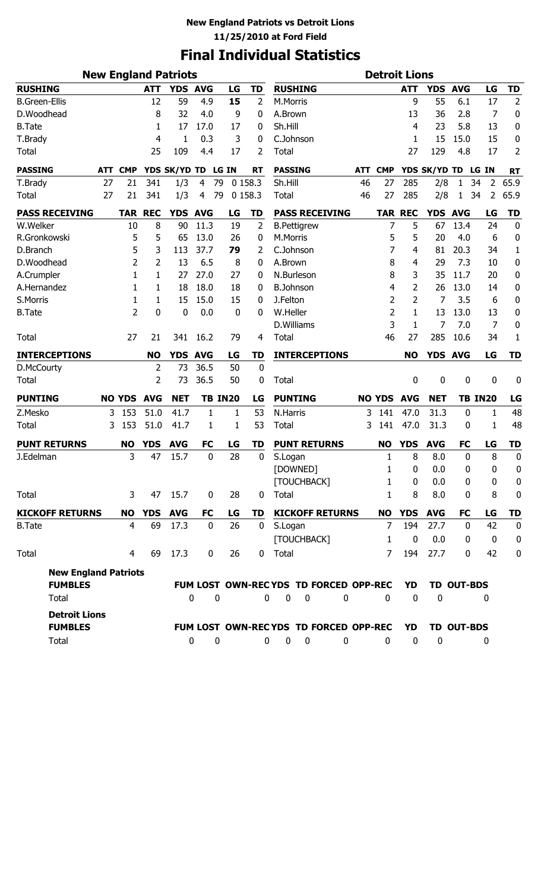# **Final Individual Statistics**

| <b>New England Patriots</b> |            |                |                |              |             |                |                                       |             |                |                        |          |            | <b>Detroit Lions</b> |                  |                  |              |                      |                             |
|-----------------------------|------------|----------------|----------------|--------------|-------------|----------------|---------------------------------------|-------------|----------------|------------------------|----------|------------|----------------------|------------------|------------------|--------------|----------------------|-----------------------------|
| <b>RUSHING</b>              |            |                | <b>ATT</b>     | YDS AVG      |             | LG             | <b>TD</b>                             |             |                | <b>RUSHING</b>         |          |            |                      | <b>ATT</b>       | YDS AVG          |              | LG                   | <b>TD</b>                   |
| <b>B.Green-Ellis</b>        |            |                | 12             | 59           | 4.9         | 15             | 2                                     |             | M.Morris       |                        |          |            |                      | 9                | 55               | 6.1          | 17                   | $\overline{2}$              |
| D.Woodhead                  |            |                | 8              | 32           | 4.0         |                | 9<br>$\bf{0}$                         |             | A.Brown        |                        |          |            |                      | 13               | 36               | 2.8          | 7                    | $\pmb{0}$                   |
| <b>B.Tate</b>               |            |                | 1              | 17           | 17.0        | 17             | 0                                     |             | Sh.Hill        |                        |          |            |                      | 4                | 23               | 5.8          | 13                   | $\boldsymbol{0}$            |
| T.Brady                     |            |                | 4              | 1            | 0.3         |                | 3<br>0                                |             |                | C.Johnson              |          |            |                      | 1                | 15               | 15.0         | 15                   | 0                           |
| <b>Total</b>                |            |                | 25             | 109          | 4.4         | 17             | 2                                     |             | Total          |                        |          |            |                      | 27               | 129              | 4.8          | 17                   | 2                           |
| <b>PASSING</b>              | <b>ATT</b> | <b>CMP</b>     |                | YDS SK/YD TD |             | LG IN          | <b>RT</b>                             |             | <b>PASSING</b> |                        |          | <b>ATT</b> | <b>CMP</b>           |                  | YDS SK/YD TD     |              | LG IN                | <b>RT</b>                   |
| T.Brady                     | 27         | 21             | 341            | 1/3          | 4           | 79             | 0 158.3                               |             | Sh.Hill        |                        |          | 46         | 27                   | 285              | 2/8              | 1            | 34<br>$\overline{2}$ | 65.9                        |
| <b>Total</b>                | 27         | 21             | 341            | 1/3          | 4           | 79             | 0 158.3                               |             | Total          |                        |          | 46         | 27                   | 285              | 2/8              | 1            | $\overline{2}$<br>34 | 65.9                        |
| <b>PASS RECEIVING</b>       |            | <b>TAR</b>     | <b>REC</b>     | <b>YDS</b>   | <b>AVG</b>  | LG             | <b>TD</b>                             |             |                | <b>PASS RECEIVING</b>  |          |            |                      | <b>TAR REC</b>   | <b>YDS</b>       | <b>AVG</b>   | LG                   | <b>TD</b>                   |
| W.Welker                    |            | 10             | 8              | 90           | 11.3        | 19             | 2                                     |             |                | <b>B.Pettigrew</b>     |          |            | 7                    | 5                | 67               | 13.4         | 24                   | $\mathbf 0$                 |
| R.Gronkowski                |            | 5              | 5              | 65           | 13.0        | 26             | 0                                     |             | M.Morris       |                        |          |            | 5                    | 5                | 20               | 4.0          | 6                    | 0                           |
| D.Branch                    |            | 5              | 3              | 113          | 37.7        | 79             | 2                                     |             |                | C.Johnson              |          |            | 7                    | 4                | 81               | 20.3         | 34                   | $\mathbf{1}$                |
| D.Woodhead                  |            | 2              | 2              | 13           | 6.5         |                | 8<br>0                                |             | A.Brown        |                        |          |            | 8                    | 4                | 29               | 7.3          | 10                   | $\pmb{0}$                   |
| A.Crumpler                  |            | 1              | 1              | 27           | 27.0        | 27             | 0                                     |             |                | N.Burleson             |          |            | 8                    | 3                | 35               | 11.7         | 20                   | 0                           |
| A.Hernandez                 |            | 1              | 1              | 18           | 18.0        | 18             | 0                                     |             |                | <b>B.Johnson</b>       |          |            | 4                    | 2                | 26               | 13.0         | 14                   | 0                           |
| S.Morris                    |            | 1              | 1              | 15           | 15.0        | 15             | 0                                     |             | J.Felton       |                        |          |            | $\overline{2}$       | $\overline{2}$   | 7                | 3.5          | 6                    | $\pmb{0}$                   |
| <b>B.Tate</b>               |            | 2              | 0              | 0            | 0.0         |                | 0<br>0                                |             | W.Heller       |                        |          |            | $\overline{2}$       | 1                | 13               | 13.0         | 13                   | $\pmb{0}$                   |
|                             |            |                |                |              |             |                |                                       |             |                | D.Williams             |          |            | 3                    | 1                | 7                | 7.0          | 7                    | 0                           |
| <b>Total</b>                |            | 27             | 21             | 341          | 16.2        | 79             | 4                                     |             | Total          |                        |          |            | 46                   | 27               | 285              | 10.6         | 34                   | 1                           |
| <b>INTERCEPTIONS</b>        |            |                | <b>NO</b>      | <b>YDS</b>   | <b>AVG</b>  | LG             | TD                                    |             |                | <b>INTERCEPTIONS</b>   |          |            |                      | <b>NO</b>        | YDS AVG          |              | LG                   | <b>TD</b>                   |
| D.McCourty                  |            |                | $\overline{2}$ | 73           | 36.5        | 50             |                                       | 0           |                |                        |          |            |                      |                  |                  |              |                      |                             |
| <b>Total</b>                |            |                | 2              | 73           | 36.5        | 50             |                                       | 0           | Total          |                        |          |            |                      | 0                | 0                | $\bf{0}$     | 0                    | 0                           |
| <b>PUNTING</b>              |            | <b>NO YDS</b>  | <b>AVG</b>     | <b>NET</b>   |             | <b>TB IN20</b> | LG                                    |             |                | <b>PUNTING</b>         |          |            | <b>NO YDS</b>        | <b>AVG</b>       | <b>NET</b>       |              | <b>TB IN20</b>       | LG                          |
| Z.Mesko                     | 3          | 153            | 51.0           | 41.7         | 1           |                | 53<br>1                               |             | N.Harris       |                        |          | 3          | 141                  | 47.0             | 31.3             | $\mathbf 0$  | $\mathbf{1}$         | 48                          |
| <b>Total</b>                | 3          | 153            | 51.0           | 41.7         | 1           |                | 53<br>1                               |             | Total          |                        |          | 3          | 141                  | 47.0             | 31.3             | 0            | 1                    | 48                          |
| <b>PUNT RETURNS</b>         |            | <b>NO</b>      | <b>YDS</b>     | <b>AVG</b>   | <b>FC</b>   | LG             | <b>TD</b>                             |             |                | <b>PUNT RETURNS</b>    |          |            | <b>NO</b>            | <b>YDS</b>       | <b>AVG</b>       | <b>FC</b>    | LG                   |                             |
| J.Edelman                   |            | 3              | 47             | 15.7         | $\mathbf 0$ | 28             |                                       | 0           | S.Logan        |                        |          |            | 1                    | 8                | 8.0              | 0            | 8                    | <b>TD</b><br>$\overline{0}$ |
|                             |            |                |                |              |             |                |                                       |             |                | [DOWNED]               |          |            | 1                    | 0                | 0.0              | $\bf{0}$     | 0                    | 0                           |
|                             |            |                |                |              |             |                |                                       |             |                | [TOUCHBACK]            |          |            | $\mathbf{1}$         | $\mathbf 0$      | 0.0              | $\mathbf 0$  | 0                    | $\pmb{0}$                   |
| <b>Total</b>                |            | 3              | 47             | 15.7         | $\bf{0}$    | 28             |                                       | 0           | Total          |                        |          |            | 1                    | 8                | 8.0              | $\Omega$     | 8                    | 0                           |
| <b>KICKOFF RETURNS</b>      |            | <b>NO</b>      | <b>YDS</b>     | <b>AVG</b>   | <b>FC</b>   | LG             | <b>TD</b>                             |             |                | <b>KICKOFF RETURNS</b> |          |            | <b>NO</b>            | <b>YDS</b>       | <b>AVG</b>       | <b>FC</b>    | LG                   | <b>TD</b>                   |
| <b>B.Tate</b>               |            | $\overline{4}$ | 69             | 17.3         | $\mathbf 0$ | 26             |                                       | $\mathbf 0$ | S.Logan        |                        |          |            | 7                    | 194              | 27.7             | $\mathbf 0$  | 42                   | $\mathbf 0$                 |
|                             |            |                |                |              |             |                |                                       |             |                | [TOUCHBACK]            |          |            | 1                    | $\mathbf 0$      | 0.0              | $\mathbf{0}$ | $\boldsymbol{0}$     | $\bf{0}$                    |
| Total                       |            | 4              | 69             | 17.3         | $\mathbf 0$ | 26             |                                       | 0 Total     |                |                        |          |            | 7                    | 194              | 27.7             | $\mathbf 0$  | 42                   | $\bf{0}$                    |
|                             |            |                |                |              |             |                |                                       |             |                |                        |          |            |                      |                  |                  |              |                      |                             |
| <b>New England Patriots</b> |            |                |                |              |             |                |                                       |             |                |                        |          |            |                      |                  |                  |              |                      |                             |
| <b>FUMBLES</b>              |            |                |                |              |             |                | FUM LOST OWN-RECYDS TD FORCED OPP-REC |             |                |                        |          |            |                      | YD               |                  |              | TD OUT-BDS           |                             |
| Total                       |            |                |                |              | 0           | $\mathbf 0$    |                                       | $\mathbf 0$ | $\mathbf 0$    | $\mathbf 0$            | 0        |            | $\mathbf 0$          | 0                | $\boldsymbol{0}$ |              | 0                    |                             |
| <b>Detroit Lions</b>        |            |                |                |              |             |                |                                       |             |                |                        |          |            |                      |                  |                  |              |                      |                             |
| <b>FUMBLES</b>              |            |                |                |              |             |                | FUM LOST OWN-RECYDS TD FORCED OPP-REC |             |                |                        |          |            |                      | <b>YD</b>        |                  |              | TD OUT-BDS           |                             |
| Total                       |            |                |                |              | 0           | $\mathbf 0$    |                                       | $\mathbf 0$ | $\bf{0}$       | $\boldsymbol{0}$       | $\bf{0}$ |            | $\mathbf 0$          | $\boldsymbol{0}$ | $\bf{0}$         |              | $\bf{0}$             |                             |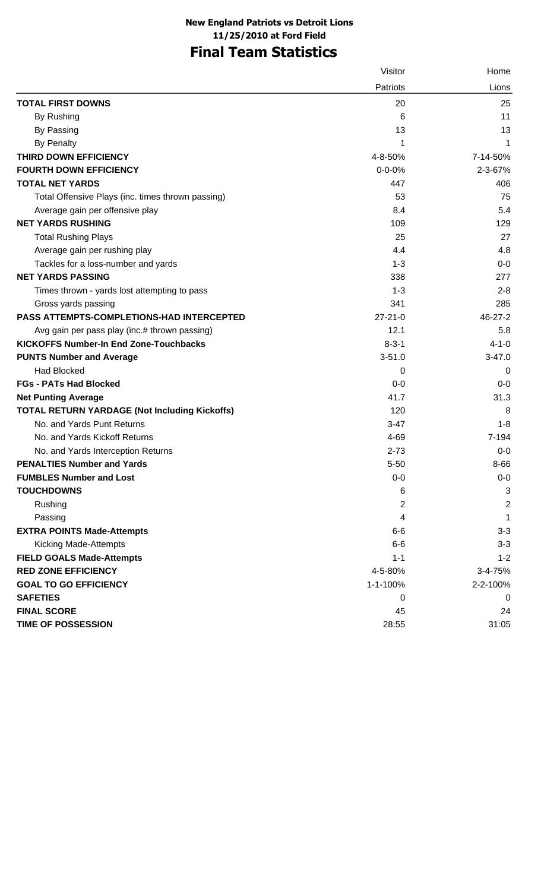# **Final Team Statistics**

|                                                      | Visitor       | Home           |
|------------------------------------------------------|---------------|----------------|
|                                                      | Patriots      | Lions          |
| <b>TOTAL FIRST DOWNS</b>                             | 20            | 25             |
| By Rushing                                           | 6             | 11             |
| By Passing                                           | 13            | 13             |
| <b>By Penalty</b>                                    | 1             | 1              |
| <b>THIRD DOWN EFFICIENCY</b>                         | 4-8-50%       | 7-14-50%       |
| <b>FOURTH DOWN EFFICIENCY</b>                        | $0 - 0 - 0%$  | 2-3-67%        |
| <b>TOTAL NET YARDS</b>                               | 447           | 406            |
| Total Offensive Plays (inc. times thrown passing)    | 53            | 75             |
| Average gain per offensive play                      | 8.4           | 5.4            |
| <b>NET YARDS RUSHING</b>                             | 109           | 129            |
| <b>Total Rushing Plays</b>                           | 25            | 27             |
| Average gain per rushing play                        | 4.4           | 4.8            |
| Tackles for a loss-number and yards                  | $1 - 3$       | $0-0$          |
| <b>NET YARDS PASSING</b>                             | 338           | 277            |
| Times thrown - yards lost attempting to pass         | $1 - 3$       | $2 - 8$        |
| Gross yards passing                                  | 341           | 285            |
| <b>PASS ATTEMPTS-COMPLETIONS-HAD INTERCEPTED</b>     | $27 - 21 - 0$ | 46-27-2        |
| Avg gain per pass play (inc.# thrown passing)        | 12.1          | 5.8            |
| <b>KICKOFFS Number-In End Zone-Touchbacks</b>        | $8 - 3 - 1$   | $4 - 1 - 0$    |
| <b>PUNTS Number and Average</b>                      | $3 - 51.0$    | $3 - 47.0$     |
| <b>Had Blocked</b>                                   | 0             | 0              |
| <b>FGs - PATs Had Blocked</b>                        | $0-0$         | $0-0$          |
| <b>Net Punting Average</b>                           | 41.7          | 31.3           |
| <b>TOTAL RETURN YARDAGE (Not Including Kickoffs)</b> | 120           | 8              |
| No. and Yards Punt Returns                           | $3 - 47$      | $1 - 8$        |
| No. and Yards Kickoff Returns                        | 4-69          | 7-194          |
| No. and Yards Interception Returns                   | $2 - 73$      | $0-0$          |
| <b>PENALTIES Number and Yards</b>                    | $5 - 50$      | 8-66           |
| <b>FUMBLES Number and Lost</b>                       | $0-0$         | $0-0$          |
| <b>TOUCHDOWNS</b>                                    | 6             | 3              |
| Rushing                                              | 2             | $\overline{2}$ |
| Passing                                              | 4             | 1              |
| <b>EXTRA POINTS Made-Attempts</b>                    | $6-6$         | $3 - 3$        |
| <b>Kicking Made-Attempts</b>                         | $6-6$         | $3 - 3$        |
| <b>FIELD GOALS Made-Attempts</b>                     | $1 - 1$       | $1 - 2$        |
| <b>RED ZONE EFFICIENCY</b>                           | 4-5-80%       | 3-4-75%        |
| <b>GOAL TO GO EFFICIENCY</b>                         | 1-1-100%      | 2-2-100%       |
| <b>SAFETIES</b>                                      | 0             | 0              |
| <b>FINAL SCORE</b>                                   | 45            | 24             |
| <b>TIME OF POSSESSION</b>                            | 28:55         | 31:05          |
|                                                      |               |                |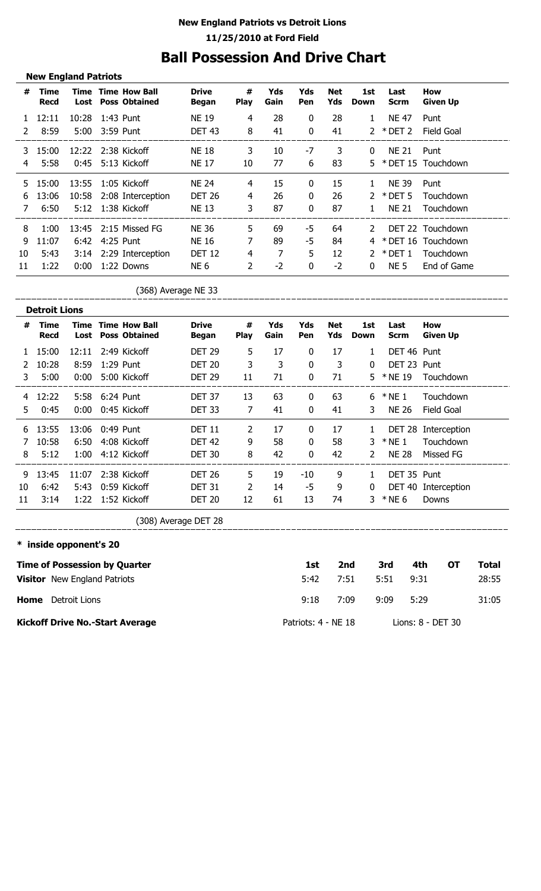## **Ball Possession And Drive Chart**

|    | <b>New England Patriots</b> |       |                    |                                                        |                              |                  |             |              |                   |               |                     |                        |
|----|-----------------------------|-------|--------------------|--------------------------------------------------------|------------------------------|------------------|-------------|--------------|-------------------|---------------|---------------------|------------------------|
| #  | Time<br><b>Recd</b>         |       |                    | <b>Time Time How Ball</b><br><b>Lost</b> Poss Obtained | <b>Drive</b><br><b>Began</b> | #<br><b>Play</b> | Yds<br>Gain | Yds<br>Pen   | <b>Net</b><br>Yds | 1st<br>Down   | Last<br><b>Scrm</b> | How<br><b>Given Up</b> |
|    | 12:11                       |       | 10:28 1:43 Punt    |                                                        | <b>NE 19</b>                 | 4                | 28          | $\mathbf{0}$ | 28                | $\mathbf{1}$  | <b>NE 47</b>        | Punt                   |
| 2  | 8:59                        |       | 5:00 3:59 Punt     |                                                        | DET <sub>43</sub>            | 8                | 41          | $\mathbf 0$  | 41                |               | $2 * DET 2$         | Field Goal             |
| 3. | 15:00                       |       | 12:22 2:38 Kickoff |                                                        | <b>NE 18</b>                 | 3                | 10          | -7           | - 3               | $\Omega$      | NE 21               | Punt                   |
| 4  | 5:58                        |       | 0:45 5:13 Kickoff  |                                                        | <b>NE 17</b>                 | 10               | 77          | 6            | 83                |               |                     | 5 * DET 15 Touchdown   |
|    | 5 15:00                     | 13:55 | 1:05 Kickoff       |                                                        | <b>NE 24</b>                 | 4                | 15          | $\mathbf{0}$ | 15                |               | <b>NE 39</b>        | Punt                   |
| 6  | 13:06                       | 10:58 |                    | 2:08 Interception                                      | <b>DET 26</b>                | 4                | 26          | $\mathbf{0}$ | 26                | $\mathcal{P}$ | $*$ DET 5           | Touchdown              |
|    | 6:50                        |       | 5:12 1:38 Kickoff  |                                                        | <b>NE 13</b>                 | 3                | 87          | $\mathbf{0}$ | 87                |               | <b>NE 21</b>        | Touchdown              |
| 8  | 1:00                        |       |                    | 13:45 2:15 Missed FG                                   | <b>NE 36</b>                 | 5                | 69          | -5           | 64                | 2             |                     | DET 22 Touchdown       |
| 9  | 11:07                       | 6:42  | 4:25 Punt          |                                                        | NE 16                        | $\overline{7}$   | 89          | $-5$         | 84                |               |                     | * DET 16 Touchdown     |
| 10 | 5:43                        |       |                    | 3:14 2:29 Interception                                 | <b>DET 12</b>                | 4                | 7           | 5            | 12                |               | $*$ DET 1           | Touchdown              |
| 11 | 1:22                        | 0:00  | 1:22 Downs         |                                                        | NE 6                         | 2                | $-2$        | $\bf{0}$     | $-2$              | $\Omega$      | NE 5                | End of Game            |

(368) Average NE 33

|               | <b>Detroit Lions</b> |              |                                              |                              |                  |             |              |                   |                    |                     |                        |
|---------------|----------------------|--------------|----------------------------------------------|------------------------------|------------------|-------------|--------------|-------------------|--------------------|---------------------|------------------------|
| #             | Time<br>Recd         | Time<br>Lost | <b>Time How Ball</b><br><b>Poss Obtained</b> | <b>Drive</b><br><b>Began</b> | #<br><b>Play</b> | Yds<br>Gain | Yds<br>Pen   | <b>Net</b><br>Yds | 1st<br><b>Down</b> | Last<br><b>Scrm</b> | <b>How</b><br>Given Up |
| $\mathbf{1}$  | 15:00                | 12:11        | 2:49 Kickoff                                 | <b>DET 29</b>                | 5                | 17          | 0            | 17                | 1                  | DET 46 Punt         |                        |
| $\mathcal{L}$ | 10:28                | 8:59         | 1:29 Punt                                    | <b>DET 20</b>                | 3                | 3           | $\mathbf{0}$ | 3                 | $\Omega$           | DET 23 Punt         |                        |
| 3             | 5:00                 | 0:00         | 5:00 Kickoff                                 | <b>DET 29</b>                | 11               | 71          | 0            | 71                | 5.                 | * NE 19             | Touchdown              |
| 4             | 12:22                | 5:58         | 6:24 Punt                                    | <b>DET 37</b>                | 13               | 63          | $\mathbf{0}$ | 63                | 6                  | $*$ NE 1            | Touchdown              |
| 5.            | 0:45                 | 0:00         | 0:45 Kickoff                                 | DET <sub>33</sub>            | 7                | 41          | $\mathbf{0}$ | 41                | 3.                 | <b>NE 26</b>        | Field Goal             |
| 6             | 13:55                | 13:06        | $0:49$ Punt                                  | <b>DET 11</b>                | $\mathcal{L}$    | 17          | $\mathbf{0}$ | 17                |                    | DET 28              | Interception           |
| 7             | 10:58                | 6:50         | 4:08 Kickoff                                 | <b>DET 42</b>                | 9                | 58          | $\mathbf{0}$ | 58                | 3.                 | $*$ NE 1            | Touchdown              |
| 8             | 5:12                 | 1:00         | 4:12 Kickoff                                 | <b>DET 30</b>                | 8                | 42          | 0            | 42                | 2                  | <b>NE 28</b>        | Missed FG              |
| 9             | 13:45                | 11:07        | 2:38 Kickoff                                 | <b>DET 26</b>                | 5                | 19          | -10          | 9                 |                    | DET 35 Punt         |                        |
| 10            | 6:42                 | 5:43         | 0:59 Kickoff                                 | <b>DET 31</b>                | $\overline{2}$   | 14          | -5           | 9                 | 0                  |                     | DET 40 Interception    |
| 11            | 3:14                 | 1:22         | 1:52 Kickoff                                 | <b>DET 20</b>                | 12               | 61          | 13           | 74                | 3.                 | $*$ NE 6            | Downs                  |
|               |                      |              |                                              |                              |                  |             |              |                   |                    |                     |                        |

(308) Average DET 28

#### **\* inside opponent's 20**

\_\_\_\_\_\_\_\_\_\_\_\_\_\_\_\_\_\_\_\_\_

\_\_\_\_\_\_\_\_\_\_\_\_\_\_\_\_\_\_\_\_\_

| <b>Time of Possession by Quarter</b>   | 1st                 | 2nd  | 3rd  | 4th               | ΟТ | Total |
|----------------------------------------|---------------------|------|------|-------------------|----|-------|
| <b>Visitor</b> New England Patriots    | 5:42                | 7:51 | 5:51 | 9:31              |    | 28:55 |
| Home<br>Detroit Lions                  | 9:18                | 7:09 | 9:09 | 5:29              |    | 31:05 |
| <b>Kickoff Drive No.-Start Average</b> | Patriots: 4 - NE 18 |      |      | Lions: 8 - DET 30 |    |       |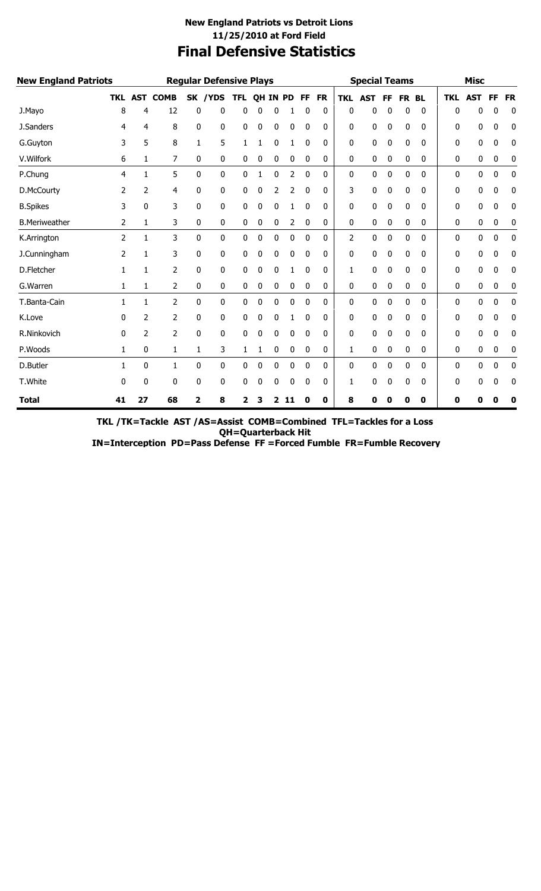### **Final Defensive Statistics New England Patriots vs Detroit Lions 11/25/2010 at Ford Field**

| <b>New England Patriots</b> |            |              |                |                | <b>Regular Defensive Plays</b> |              |   |       |           |           |           |            | <b>Special Teams</b> |           |           |              |              | <b>Misc</b> |    |           |
|-----------------------------|------------|--------------|----------------|----------------|--------------------------------|--------------|---|-------|-----------|-----------|-----------|------------|----------------------|-----------|-----------|--------------|--------------|-------------|----|-----------|
|                             | <b>TKL</b> | <b>AST</b>   | <b>COMB</b>    | <b>SK</b>      | /YDS                           | <b>TFL</b>   |   | QH IN | <b>PD</b> | <b>FF</b> | <b>FR</b> | <b>TKL</b> | <b>AST</b>           | FF        | <b>FR</b> | <b>BL</b>    | <b>TKL</b>   | AST         | FF | <b>FR</b> |
| J.Mayo                      | 8          | 4            | 12             | 0              | 0                              | 0            | 0 | 0     | 1         | 0         | 0         | 0          | 0                    | 0         | 0         | 0            | 0            | 0           | 0  | 0         |
| J.Sanders                   | 4          | 4            | 8              | 0              | 0                              | 0            | 0 | 0     | 0         | 0         | 0         | 0          | 0                    | 0         | 0         | 0            | 0            | 0           | 0  | 0         |
| G.Guyton                    | 3          | 5            | 8              | 1              | 5                              | 1            | 1 | 0     | 1         | 0         | 0         | 0          | 0                    | 0         | 0         | 0            | 0            | 0           | 0  | 0         |
| V.Wilfork                   | 6          | $\mathbf{1}$ | 7              | 0              | 0                              | 0            | 0 | 0     | 0         | 0         | 0         | 0          | 0                    | 0         | 0         | 0            | 0            | 0           | 0  | 0         |
| P.Chung                     | 4          | 1            | 5              | 0              | $\pmb{0}$                      | 0            | 1 | 0     | 2         | 0         | 0         | 0          | 0                    | $\pmb{0}$ | 0         | 0            | 0            | 0           | 0  | 0         |
| D.McCourty                  | 2          | 2            | 4              | 0              | 0                              | 0            | 0 | 2     | 2         | 0         | 0         | 3          | 0                    | 0         | 0         | 0            | 0            | 0           | 0  | 0         |
| <b>B.Spikes</b>             | 3          | 0            | 3              | 0              | 0                              | 0            | 0 | 0     |           | 0         | 0         | 0          | 0                    | 0         | 0         | 0            | 0            | 0           | 0  | 0         |
| <b>B.Meriweather</b>        | 2          | 1            | 3              | 0              | 0                              | 0            | 0 | 0     | 2         | 0         | 0         | 0          | 0                    | 0         | 0         | 0            | 0            | 0           | 0  | 0         |
| K.Arrington                 | 2          | 1            | 3              | 0              | 0                              | 0            | 0 | 0     | 0         | 0         | 0         | 2          | 0                    | 0         | 0         | 0            | 0            | 0           | 0  | 0         |
| J.Cunningham                | 2          | 1            | 3              | 0              | 0                              | 0            | 0 | 0     | 0         | 0         | 0         | 0          | 0                    | 0         | 0         | 0            | 0            | 0           | 0  | 0         |
| D.Fletcher                  | 1          | 1            | 2              | 0              | 0                              | 0            | 0 | 0     |           | 0         | 0         | 1          | 0                    | 0         | 0         | 0            | 0            | 0           | 0  | 0         |
| G.Warren                    | 1          | 1            | 2              | 0              | 0                              | 0            | 0 | 0     | 0         | 0         | 0         | 0          | 0                    | 0         | 0         | 0            | 0            | 0           | 0  | 0         |
| T.Banta-Cain                | 1          | 1            | 2              | 0              | 0                              | 0            | 0 | 0     | 0         | 0         | 0         | 0          | 0                    | 0         | 0         | 0            | 0            | 0           | 0  | 0         |
| K.Love                      | 0          | 2            | 2              | 0              | 0                              | 0            | 0 | 0     | 1         | 0         | 0         | 0          | 0                    | 0         | 0         | 0            | $\mathbf{0}$ | 0           | 0  | 0         |
| R.Ninkovich                 | 0          | 2            | $\overline{2}$ | 0              | 0                              | 0            | 0 | 0     | 0         | 0         | 0         | 0          | 0                    | 0         | 0         | 0            | 0            | 0           | 0  | 0         |
| P.Woods                     | 1          | 0            | 1              | 1              | 3                              | 1            | 1 | 0     | 0         | 0         | 0         | 1          | 0                    | 0         | 0         | $\mathbf{0}$ | 0            | 0           | 0  | 0         |
| D.Butler                    | 1          | 0            | 1              | 0              | 0                              | 0            | 0 | 0     | 0         | 0         | 0         | 0          | 0                    | 0         | 0         | 0            | 0            | 0           | 0  | 0         |
| T.White                     | 0          | 0            | 0              | 0              | 0                              | 0            | 0 | 0     | 0         | 0         | 0         | 1          | 0                    | 0         | 0         | 0            | 0            | 0           | 0  | 0         |
| <b>Total</b>                | 41         | 27           | 68             | $\overline{2}$ | 8                              | $\mathbf{z}$ | 3 |       | 2 11      | 0         | 0         | 8          | 0                    | 0         | 0         | 0            | 0            | 0           | 0  | 0         |

**TKL /TK=Tackle AST /AS=Assist COMB=Combined TFL=Tackles for a Loss QH=Quarterback Hit**

 **IN=Interception PD=Pass Defense FF =Forced Fumble FR=Fumble Recovery**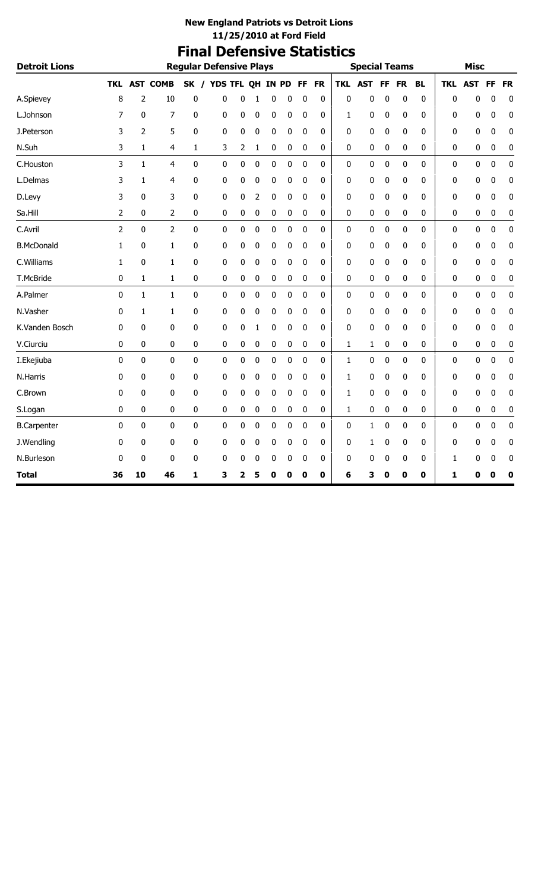# **Final Defensive Statistics**

| <b>Detroit Lions</b> |            |    |                 | <b>Regular Defensive Plays</b> |            |   |   |     |    |           |           |            | <b>Special Teams</b> |    |           |           |            | <b>Misc</b> |           |                  |
|----------------------|------------|----|-----------------|--------------------------------|------------|---|---|-----|----|-----------|-----------|------------|----------------------|----|-----------|-----------|------------|-------------|-----------|------------------|
|                      | <b>TKL</b> |    | <b>AST COMB</b> | SK /                           | YDS TFL QH |   |   | IN. | PD | <b>FF</b> | <b>FR</b> | <b>TKL</b> | AST                  | FF | <b>FR</b> | <b>BL</b> | <b>TKL</b> | <b>AST</b>  | <b>FF</b> | <b>FR</b>        |
| A.Spievey            | 8          | 2  | 10              | 0                              | 0          | 0 | 1 | 0   | 0  | 0         | 0         | 0          | 0                    | 0  | 0         | 0         | 0          | 0           | 0         | 0                |
| L.Johnson            | 7          | 0  | 7               | 0                              | 0          | 0 | 0 | 0   | 0  | 0         | 0         | 1          | 0                    | 0  | 0         | 0         | 0          | 0           | 0         | 0                |
| J.Peterson           | 3          | 2  | 5               | 0                              | 0          | 0 | 0 | 0   | 0  | 0         | 0         | 0          | 0                    | 0  | 0         | 0         | 0          | 0           | 0         | 0                |
| N.Suh                | 3          | 1  | 4               | 1                              | 3          | 2 | 1 | 0   | 0  | 0         | 0         | 0          | 0                    | 0  | 0         | 0         | 0          | 0           | 0         | 0                |
| C.Houston            | 3          | 1  | 4               | $\pmb{0}$                      | 0          | 0 | 0 | 0   | 0  | 0         | 0         | 0          | 0                    | 0  | 0         | 0         | 0          | 0           | $\pmb{0}$ | $\pmb{0}$        |
| L.Delmas             | 3          | 1  | 4               | 0                              | 0          | 0 | 0 | 0   | 0  | 0         | 0         | 0          | 0                    | 0  | 0         | 0         | 0          | 0           | 0         | 0                |
| D.Levy               | 3          | 0  | 3               | 0                              | 0          | 0 | 2 | 0   | 0  | 0         | 0         | 0          | 0                    | 0  | 0         | 0         | 0          | 0           | 0         | 0                |
| Sa.Hill              | 2          | 0  | $\overline{2}$  | 0                              | 0          | 0 | 0 | 0   | 0  | 0         | 0         | 0          | 0                    | 0  | 0         | 0         | 0          | 0           | 0         | $\boldsymbol{0}$ |
| C.Avril              | 2          | 0  | $\overline{2}$  | $\pmb{0}$                      | 0          | 0 | 0 | 0   | 0  | 0         | 0         | 0          | 0                    | 0  | 0         | 0         | 0          | 0           | $\pmb{0}$ | $\pmb{0}$        |
| <b>B.McDonald</b>    | 1          | 0  | 1               | $\bf{0}$                       | 0          | 0 | 0 | 0   | 0  | 0         | 0         | 0          | 0                    | 0  | 0         | 0         | 0          | 0           | 0         | 0                |
| C.Williams           | 1          | 0  | 1               | 0                              | 0          | 0 | 0 | 0   | 0  | 0         | 0         | 0          | 0                    | 0  | 0         | 0         | 0          | 0           | 0         | 0                |
| T.McBride            | 0          | 1  | 1               | 0                              | 0          | 0 | 0 | 0   | 0  | 0         | 0         | 0          | 0                    | 0  | 0         | 0         | 0          | 0           | 0         | $\pmb{0}$        |
| A.Palmer             | 0          | 1  | 1               | 0                              | 0          | 0 | 0 | 0   | 0  | 0         | 0         | 0          | 0                    | 0  | 0         | 0         | 0          | 0           | 0         | 0                |
| N.Vasher             | 0          | 1  | 1               | 0                              | 0          | 0 | 0 | 0   | 0  | 0         | 0         | 0          | 0                    | 0  | 0         | 0         | 0          | 0           | 0         | 0                |
| K.Vanden Bosch       | 0          | 0  | 0               | 0                              | 0          | 0 | 1 | 0   | 0  | 0         | 0         | 0          | 0                    | 0  | 0         | 0         | 0          | 0           | 0         | 0                |
| V.Ciurciu            | 0          | 0  | 0               | 0                              | 0          | 0 | 0 | 0   | 0  | 0         | 0         | 1          | 1                    | 0  | 0         | 0         | 0          | 0           | 0         | 0                |
| I.Ekejiuba           | 0          | 0  | 0               | 0                              | 0          | 0 | 0 | 0   | 0  | 0         | 0         | 1          | 0                    | 0  | 0         | 0         | 0          | 0           | 0         | $\pmb{0}$        |
| N.Harris             | 0          | 0  | 0               | 0                              | 0          | 0 | 0 | 0   | 0  | 0         | 0         | 1          | 0                    | 0  | 0         | 0         | 0          | 0           | 0         | 0                |
| C.Brown              | 0          | 0  | 0               | 0                              | 0          | 0 | 0 | 0   | 0  | 0         | 0         | 1          | 0                    | 0  | 0         | 0         | 0          | 0           | 0         | 0                |
| S.Logan              | 0          | 0  | 0               | 0                              | 0          | 0 | 0 | 0   | 0  | 0         | 0         | 1          | 0                    | 0  | 0         | 0         | 0          | 0           | 0         | 0                |
| <b>B.Carpenter</b>   | 0          | 0  | 0               | 0                              | 0          | 0 | 0 | 0   | 0  | 0         | 0         | 0          | 1                    | 0  | 0         | 0         | 0          | 0           | 0         | $\pmb{0}$        |
| J.Wendling           | 0          | 0  | 0               | 0                              | 0          | 0 | 0 | 0   | 0  | 0         | 0         | 0          | 1                    | 0  | 0         | 0         | 0          | 0           | 0         | 0                |
| N.Burleson           | 0          | 0  | 0               | 0                              | 0          | 0 | 0 | 0   | 0  | 0         | 0         | 0          | 0                    | 0  | 0         | 0         | 1          | 0           | 0         | 0                |
| <b>Total</b>         | 36         | 10 | 46              | 1                              | 3          | 2 | 5 | 0   | 0  | 0         | 0         | 6          | 3                    | 0  | 0         | 0         | 1          | 0           | 0         | 0                |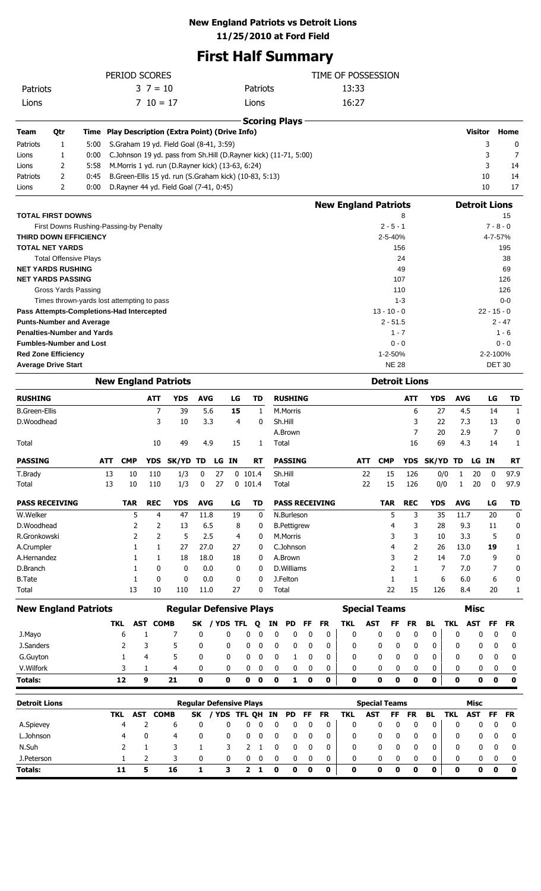## **First Half Summary**

|                                    |                                                          |                                            | PERIOD SCORES            |                                |                                                                  |                                |                  |           |                                      |                  |                      |                  |                       | TIME OF POSSESSION          |                      |                  |                      |                |                 |                      |                |                  |
|------------------------------------|----------------------------------------------------------|--------------------------------------------|--------------------------|--------------------------------|------------------------------------------------------------------|--------------------------------|------------------|-----------|--------------------------------------|------------------|----------------------|------------------|-----------------------|-----------------------------|----------------------|------------------|----------------------|----------------|-----------------|----------------------|----------------|------------------|
| Patriots                           |                                                          |                                            |                          | $3 \t7 = 10$                   |                                                                  |                                |                  |           | Patriots                             |                  |                      |                  |                       | 13:33                       |                      |                  |                      |                |                 |                      |                |                  |
| Lions                              |                                                          |                                            |                          | $710 = 17$                     |                                                                  |                                |                  |           | Lions                                |                  |                      |                  |                       | 16:27                       |                      |                  |                      |                |                 |                      |                |                  |
|                                    |                                                          |                                            |                          |                                |                                                                  |                                |                  |           |                                      |                  | <b>Scoring Plays</b> |                  |                       |                             |                      |                  |                      |                |                 |                      |                |                  |
| Team                               | Qtr                                                      | Time                                       |                          |                                | <b>Play Description (Extra Point) (Drive Info)</b>               |                                |                  |           |                                      |                  |                      |                  |                       |                             |                      |                  |                      |                |                 | <b>Visitor</b>       |                | Home             |
| Patriots                           | 1                                                        | 5:00                                       |                          |                                | S.Graham 19 yd. Field Goal (8-41, 3:59)                          |                                |                  |           |                                      |                  |                      |                  |                       |                             |                      |                  |                      |                |                 |                      | 3              | 0                |
| Lions                              | 1                                                        | 0:00                                       |                          |                                | C.Johnson 19 yd. pass from Sh.Hill (D.Rayner kick) (11-71, 5:00) |                                |                  |           |                                      |                  |                      |                  |                       |                             |                      |                  |                      |                |                 |                      | 3              | 7                |
| Lions                              | 2                                                        | 5:58                                       |                          |                                | M. Morris 1 yd. run (D. Rayner kick) (13-63, 6:24)               |                                |                  |           |                                      |                  |                      |                  |                       |                             |                      |                  |                      |                |                 |                      | 3              | 14               |
| Patriots                           | 2                                                        | 0:45                                       |                          |                                | B.Green-Ellis 15 yd. run (S.Graham kick) (10-83, 5:13)           |                                |                  |           |                                      |                  |                      |                  |                       |                             |                      |                  |                      |                |                 | 10                   |                | 14               |
| Lions                              | 2                                                        | 0:00                                       |                          |                                | D.Rayner 44 yd. Field Goal (7-41, 0:45)                          |                                |                  |           |                                      |                  |                      |                  |                       |                             |                      |                  |                      |                |                 | 10                   |                | 17               |
|                                    | <b>TOTAL FIRST DOWNS</b>                                 |                                            |                          |                                |                                                                  |                                |                  |           |                                      |                  |                      |                  |                       | <b>New England Patriots</b> |                      |                  | 8                    |                |                 | <b>Detroit Lions</b> |                | 15               |
|                                    |                                                          | First Downs Rushing-Passing-by Penalty     |                          |                                |                                                                  |                                |                  |           |                                      |                  |                      |                  |                       |                             |                      | $2 - 5 - 1$      |                      |                |                 |                      | $7 - 8 - 0$    |                  |
|                                    | <b>THIRD DOWN EFFICIENCY</b>                             |                                            |                          |                                |                                                                  |                                |                  |           |                                      |                  |                      |                  |                       |                             |                      | 2-5-40%          |                      |                |                 |                      | 4-7-57%        |                  |
|                                    | <b>TOTAL NET YARDS</b>                                   |                                            |                          |                                |                                                                  |                                |                  |           |                                      |                  |                      |                  |                       |                             |                      |                  | 156                  |                |                 |                      |                | 195              |
|                                    | <b>Total Offensive Plays</b>                             |                                            |                          |                                |                                                                  |                                |                  |           |                                      |                  |                      |                  |                       |                             |                      |                  | 24                   |                |                 |                      |                | 38               |
|                                    | <b>NET YARDS RUSHING</b>                                 |                                            |                          |                                |                                                                  |                                |                  |           |                                      |                  |                      |                  |                       |                             |                      |                  | 49                   |                |                 |                      |                | 69               |
|                                    | <b>NET YARDS PASSING</b>                                 |                                            |                          |                                |                                                                  |                                |                  |           |                                      |                  |                      |                  |                       |                             |                      |                  | 107                  |                |                 |                      |                | 126              |
|                                    | Gross Yards Passing                                      |                                            |                          |                                |                                                                  |                                |                  |           |                                      |                  |                      |                  |                       |                             |                      |                  | 110                  |                |                 |                      |                | 126              |
|                                    |                                                          | Times thrown-yards lost attempting to pass |                          |                                |                                                                  |                                |                  |           |                                      |                  |                      |                  |                       |                             |                      |                  | $1 - 3$              |                |                 |                      |                | $0-0$            |
|                                    |                                                          | Pass Attempts-Completions-Had Intercepted  |                          |                                |                                                                  |                                |                  |           |                                      |                  |                      |                  |                       |                             |                      | $13 - 10 - 0$    |                      |                |                 |                      | $22 - 15 - 0$  |                  |
|                                    | <b>Punts-Number and Average</b>                          |                                            |                          |                                |                                                                  |                                |                  |           |                                      |                  |                      |                  |                       |                             |                      | $2 - 51.5$       |                      |                |                 |                      | 2 - 47         |                  |
|                                    | <b>Fumbles-Number and Lost</b>                           | <b>Penalties-Number and Yards</b>          |                          |                                |                                                                  |                                |                  |           |                                      |                  |                      |                  |                       |                             |                      | $1 - 7$          |                      |                |                 |                      |                | $1 - 6$          |
|                                    |                                                          |                                            |                          |                                |                                                                  |                                |                  |           |                                      |                  |                      |                  |                       |                             |                      | 1-2-50%          | $0 - 0$              |                |                 |                      | 2-2-100%       | $0 - 0$          |
|                                    | <b>Red Zone Efficiency</b><br><b>Average Drive Start</b> |                                            |                          |                                |                                                                  |                                |                  |           |                                      |                  |                      |                  |                       |                             |                      | <b>NE 28</b>     |                      |                |                 |                      | <b>DET 30</b>  |                  |
|                                    |                                                          |                                            |                          |                                | <b>New England Patriots</b>                                      |                                |                  |           |                                      |                  |                      |                  |                       |                             |                      |                  | <b>Detroit Lions</b> |                |                 |                      |                |                  |
| <b>RUSHING</b>                     |                                                          |                                            |                          | <b>ATT</b>                     | <b>YDS</b>                                                       | <b>AVG</b>                     |                  | LG        | TD                                   |                  | <b>RUSHING</b>       |                  |                       |                             |                      |                  | <b>ATT</b>           | <b>YDS</b>     | <b>AVG</b>      |                      | LG             | <b>TD</b>        |
|                                    |                                                          |                                            |                          |                                |                                                                  |                                |                  |           |                                      |                  |                      |                  |                       |                             |                      |                  |                      |                |                 |                      |                |                  |
| <b>B.Green-Ellis</b><br>D.Woodhead |                                                          |                                            |                          | 7                              | 39                                                               | 5.6                            |                  | 15        | 1<br>0                               |                  | M.Morris<br>Sh.Hill  |                  |                       |                             |                      |                  | 6<br>3               | 27             | 4.5<br>7.3      |                      | 14             | 1                |
|                                    |                                                          |                                            |                          | 3                              | 10                                                               | 3.3                            |                  | 4         |                                      |                  | A.Brown              |                  |                       |                             |                      |                  | 7                    | 22<br>20       |                 |                      | 13<br>7        | 0                |
| Total                              |                                                          |                                            |                          | 10                             | 49                                                               | 4.9                            |                  | 15        | 1                                    |                  | Total                |                  |                       |                             |                      |                  | 16                   | 69             | 2.9<br>4.3      |                      | 14             | 0<br>1           |
|                                    |                                                          |                                            |                          |                                |                                                                  |                                |                  |           |                                      |                  |                      |                  |                       |                             |                      |                  |                      |                |                 |                      |                |                  |
| <b>PASSING</b>                     |                                                          | АТТ                                        | СМР                      | <b>YDS</b>                     | SK/YD TD                                                         |                                | LG IN            |           | RT                                   |                  | <b>PASSING</b>       |                  |                       |                             |                      |                  | <b>YDS</b>           | SK/YD TD       |                 | LG IN                |                | <b>RT</b>        |
| T.Brady<br>Total                   |                                                          | 13<br>13                                   | 10                       | 110                            | 1/3                                                              | 0                              | 27               | $0$ 101.4 |                                      |                  | Sh.Hill              |                  |                       |                             | 22<br>22             | 15<br>15         | 126                  | 0/0<br>0/0     | 1               | 20                   | 0              | 97.9<br>97.9     |
|                                    |                                                          |                                            | 10                       | 110                            | 1/3                                                              | 0                              | 27               | 0101.4    |                                      |                  | Total                |                  |                       |                             |                      |                  | 126                  |                | 1               | 20                   | 0              |                  |
|                                    | <b>PASS RECEIVING</b>                                    |                                            | <b>TAR</b>               | <b>REC</b>                     | <b>YDS</b>                                                       | <b>AVG</b>                     |                  | LG        | <b>TD</b>                            |                  |                      |                  | <b>PASS RECEIVING</b> |                             |                      | <b>TAR</b>       | <b>REC</b>           | <b>YDS</b>     | <b>AVG</b>      |                      | LG             | <b>TD</b>        |
| W.Welker                           |                                                          |                                            | 5                        | 4                              | 47                                                               | 11.8                           |                  | 19        | 0                                    |                  | N.Burleson           |                  |                       |                             |                      | 5                | 3                    | 35             | 11.7            |                      | 20             | 0                |
| D.Woodhead                         |                                                          |                                            | $\overline{2}$           | 2                              | 13                                                               | 6.5                            |                  | 8         | 0                                    |                  | <b>B.Pettigrew</b>   |                  |                       |                             |                      | 4                | 3                    | 28             | 9.3             |                      | 11             | 0                |
| R.Gronkowski                       |                                                          |                                            | $\overline{2}$           | 2                              | 5                                                                | 2.5                            |                  | 4         | 0                                    |                  | M.Morris             |                  |                       |                             |                      | 3                | 3                    | 10             | 3.3             |                      | 5              | 0                |
| A.Crumpler                         |                                                          |                                            | 1                        | 1                              | 27                                                               | 27.0                           |                  | 27        | 0                                    |                  | C.Johnson            |                  |                       |                             |                      | 4                | 2                    | 26             | 13.0            |                      | 19             | 1                |
| A.Hernandez                        |                                                          |                                            | 1                        | 1                              | 18                                                               | 18.0                           |                  | 18        | 0                                    |                  | A.Brown              |                  |                       |                             |                      | 3                | $\overline{2}$       | 14             | 7.0             |                      | 9              | 0                |
| D.Branch                           |                                                          |                                            | 1                        | 0                              | 0                                                                | 0.0                            |                  | 0         | 0                                    |                  | D.Williams           |                  |                       |                             |                      | 2                | $\mathbf{1}$         | $\overline{7}$ | 7.0             |                      | 7              | 0                |
| <b>B.Tate</b>                      |                                                          |                                            | 1<br>13                  | 0                              | 0                                                                | 0.0                            |                  | 0         | 0<br>0                               |                  | J.Felton             |                  |                       |                             |                      | 1<br>22          | $\mathbf{1}$<br>15   | 6              | 6.0<br>8.4      |                      | 6              | 0                |
| Total                              |                                                          |                                            |                          | 10                             | 110                                                              | 11.0                           |                  | 27        |                                      |                  | Total                |                  |                       |                             |                      |                  |                      | 126            |                 |                      | 20             | 1                |
|                                    |                                                          | <b>New England Patriots</b>                |                          |                                | <b>Regular Defensive Plays</b>                                   |                                |                  |           |                                      |                  |                      |                  |                       | <b>Special Teams</b>        |                      |                  |                      |                |                 | <b>Misc</b>          |                |                  |
| J.Mayo                             |                                                          |                                            | TKL<br>6                 | <b>COMB</b><br><b>AST</b><br>1 | 7                                                                | SK<br>0                        | / YDS TFL<br>0   |           | Q<br>0<br>0                          | <b>IN</b><br>0   | PD<br>0              | <b>FF</b><br>0   | <b>FR</b><br>0        | <b>TKL</b><br>0             | <b>AST</b><br>0      | FF<br>0          | <b>FR</b><br>0       | <b>BL</b><br>0 | <b>TKL</b><br>0 | <b>AST</b><br>0      | <b>FF</b><br>0 | <b>FR</b><br>0   |
| J.Sanders                          |                                                          |                                            | 2                        | 3                              | 5                                                                | 0                              | 0                |           | 0<br>0                               | 0                | 0                    | 0                | 0                     | 0                           | 0                    | 0                | 0                    | 0              | 0               | 0                    | 0              | 0                |
| G.Guyton                           |                                                          |                                            | 1                        | 4                              | 5                                                                | 0                              | 0                |           | 0<br>0                               | 0                | 1                    | 0                | 0                     | 0                           | $\mathbf 0$          | 0                | 0                    | 0              | 0               | 0                    | 0              | 0                |
|                                    |                                                          |                                            |                          |                                |                                                                  |                                |                  |           |                                      |                  |                      |                  |                       |                             |                      |                  |                      |                |                 |                      |                |                  |
| V.Wilfork                          |                                                          |                                            | 3<br>12                  | 1<br>9                         | 4                                                                | 0<br>$\mathbf 0$               | 0<br>$\mathbf 0$ |           | 0<br>0<br>$\mathbf 0$<br>$\mathbf 0$ | 0<br>$\mathbf 0$ | 0<br>$\mathbf{1}$    | 0<br>$\mathbf 0$ | 0<br>$\mathbf 0$      | 0                           | 0<br>$\mathbf 0$     | 0<br>$\mathbf 0$ | 0<br>$\mathbf 0$     | 0              | 0               | 0<br>$\mathbf 0$     | 0              | 0<br>$\mathbf 0$ |
| Totals:                            |                                                          |                                            |                          |                                | 21                                                               |                                |                  |           |                                      |                  |                      |                  |                       | $\pmb{0}$                   |                      |                  |                      | $\mathbf 0$    | $\bf{0}$        |                      | $\mathbf 0$    |                  |
| <b>Detroit Lions</b>               |                                                          |                                            |                          |                                |                                                                  | <b>Regular Defensive Plays</b> |                  |           |                                      |                  |                      |                  |                       |                             | <b>Special Teams</b> |                  |                      |                |                 | <b>Misc</b>          |                |                  |
|                                    |                                                          |                                            | <b>TKL</b><br><b>AST</b> |                                | <b>COMB</b>                                                      | SK                             | / YDS TFL QH     |           |                                      | IN               | PD                   | FF               | <b>FR</b>             | <b>TKL</b>                  | <b>AST</b>           | <b>FF</b>        | <b>FR</b>            | <b>BL</b>      | <b>TKL</b>      | <b>AST</b>           | FF             | <b>FR</b>        |
| A.Spievey                          |                                                          |                                            | 4                        | 2                              | 6                                                                | 0                              | 0                |           | 0<br>0                               | 0                | 0                    | 0                | 0                     | 0                           | 0                    | 0                | 0                    | 0              | 0               | 0                    | 0              | 0                |
| L.Johnson                          |                                                          |                                            | 4                        | 0                              | 4                                                                | 0                              | 0                |           | 0<br>0                               | 0                | 0                    | 0                | 0                     | 0                           | 0                    | 0                | 0                    | 0              | 0               | 0                    | 0              | 0                |
| N.Suh                              |                                                          |                                            | 2                        | 1                              | 3                                                                | 1                              | 3                |           | 2<br>1                               | 0                | 0                    | 0                | 0                     | 0                           | 0                    | 0                | 0                    | 0              | 0               | 0                    | 0              | 0                |
| J.Peterson                         |                                                          |                                            | 1                        | 2                              | 3                                                                | 0                              | 0                |           | 0<br>0                               | 0                | 0                    | 0                | 0                     | 0                           | 0                    | 0                | 0                    | 0              | 0               | 0                    | 0              | 0                |
| <b>Totals:</b>                     |                                                          |                                            | 11                       | 5                              | 16                                                               | 1                              | 3                |           | $2 \quad 1$                          | $\mathbf 0$      | $\mathbf 0$          | $\mathbf 0$      | 0                     | 0                           | $\mathbf 0$          | 0                | $\mathbf 0$          | 0              | $\bf{0}$        | $\mathbf 0$          | $\mathbf 0$    | $\mathbf 0$      |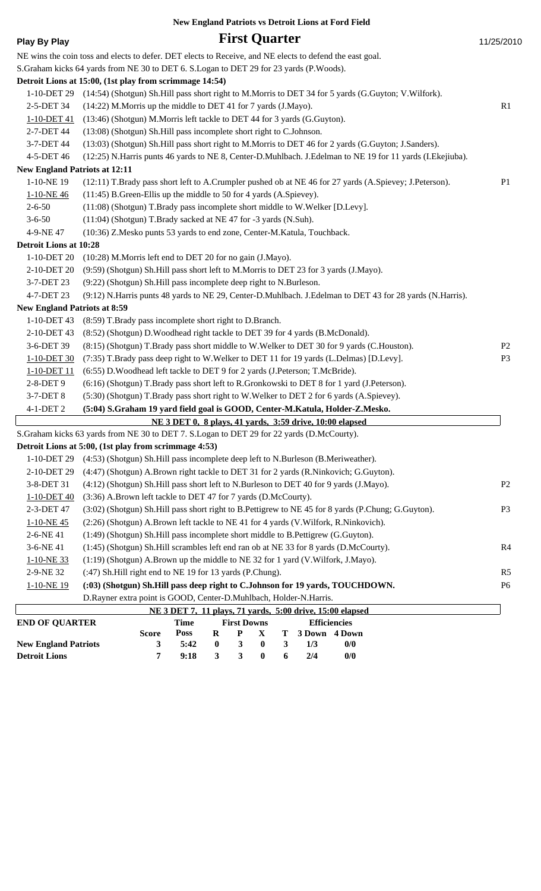**Play By Play First Quarter** 11/25/2010 NE wins the coin toss and elects to defer. DET elects to Receive, and NE elects to defend the east goal. S.Graham kicks 64 yards from NE 30 to DET 6. S.Logan to DET 29 for 23 yards (P.Woods). **Detroit Lions at 15:00, (1st play from scrimmage 14:54)** 1-10-DET 29 (14:54) (Shotgun) Sh.Hill pass short right to M.Morris to DET 34 for 5 yards (G.Guyton; V.Wilfork). 2-5-DET 34 (14:22) M.Morris up the middle to DET 41 for 7 yards (J.Mayo). R1 1-10-DET 41 (13:46) (Shotgun) M.Morris left tackle to DET 44 for 3 yards (G.Guyton). 2-7-DET 44 (13:08) (Shotgun) Sh.Hill pass incomplete short right to C.Johnson. 3-7-DET 44 (13:03) (Shotgun) Sh.Hill pass short right to M.Morris to DET 46 for 2 yards (G.Guyton; J.Sanders). 4-5-DET 46 (12:25) N.Harris punts 46 yards to NE 8, Center-D.Muhlbach. J.Edelman to NE 19 for 11 yards (I.Ekejiuba). **New England Patriots at 12:11** 1-10-NE 19 (12:11) T.Brady pass short left to A.Crumpler pushed ob at NE 46 for 27 yards (A.Spievey; J.Peterson). P1 1-10-NE 46 (11:45) B.Green-Ellis up the middle to 50 for 4 yards (A.Spievey). 2-6-50 (11:08) (Shotgun) T.Brady pass incomplete short middle to W.Welker [D.Levy]. 3-6-50 (11:04) (Shotgun) T.Brady sacked at NE 47 for -3 yards (N.Suh). 4-9-NE 47 (10:36) Z.Mesko punts 53 yards to end zone, Center-M.Katula, Touchback. **Detroit Lions at 10:28** 1-10-DET 20 (10:28) M.Morris left end to DET 20 for no gain (J.Mayo). 2-10-DET 20 (9:59) (Shotgun) Sh.Hill pass short left to M.Morris to DET 23 for 3 yards (J.Mayo). 3-7-DET 23 (9:22) (Shotgun) Sh.Hill pass incomplete deep right to N.Burleson. 4-7-DET 23 (9:12) N.Harris punts 48 yards to NE 29, Center-D.Muhlbach. J.Edelman to DET 43 for 28 yards (N.Harris). **New England Patriots at 8:59** 1-10-DET 43 (8:59) T.Brady pass incomplete short right to D.Branch. 2-10-DET 43 (8:52) (Shotgun) D.Woodhead right tackle to DET 39 for 4 yards (B.McDonald). 3-6-DET 39 (8:15) (Shotgun) T.Brady pass short middle to W.Welker to DET 30 for 9 yards (C.Houston). P2 1-10-DET 30 (7:35) T.Brady pass deep right to W.Welker to DET 11 for 19 yards (L.Delmas) [D.Levy]. P3 1-10-DET 11 (6:55) D.Woodhead left tackle to DET 9 for 2 yards (J.Peterson; T.McBride). 2-8-DET 9 (6:16) (Shotgun) T.Brady pass short left to R.Gronkowski to DET 8 for 1 yard (J.Peterson). 3-7-DET 8 (5:30) (Shotgun) T.Brady pass short right to W.Welker to DET 2 for 6 yards (A.Spievey). 4-1-DET 2 **(5:04) S.Graham 19 yard field goal is GOOD, Center-M.Katula, Holder-Z.Mesko. NE 3 DET 0, 8 plays, 41 yards, 3:59 drive, 10:00 elapsed** S.Graham kicks 63 yards from NE 30 to DET 7. S.Logan to DET 29 for 22 yards (D.McCourty). **Detroit Lions at 5:00, (1st play from scrimmage 4:53)** 1-10-DET 29 (4:53) (Shotgun) Sh.Hill pass incomplete deep left to N.Burleson (B.Meriweather). 2-10-DET 29 (4:47) (Shotgun) A.Brown right tackle to DET 31 for 2 yards (R.Ninkovich; G.Guyton). 3-8-DET 31 (4:12) (Shotgun) Sh.Hill pass short left to N.Burleson to DET 40 for 9 yards (J.Mayo). P2 1-10-DET 40 (3:36) A.Brown left tackle to DET 47 for 7 yards (D.McCourty). 2-3-DET 47 (3:02) (Shotgun) Sh.Hill pass short right to B.Pettigrew to NE 45 for 8 yards (P.Chung; G.Guyton). P3 1-10-NE 45 (2:26) (Shotgun) A.Brown left tackle to NE 41 for 4 yards (V.Wilfork, R.Ninkovich). 2-6-NE 41 (1:49) (Shotgun) Sh.Hill pass incomplete short middle to B.Pettigrew (G.Guyton). 3-6-NE 41 (1:45) (Shotgun) Sh.Hill scrambles left end ran ob at NE 33 for 8 yards (D.McCourty). R4 1-10-NE 33 (1:19) (Shotgun) A.Brown up the middle to NE 32 for 1 yard (V.Wilfork, J.Mayo). 2-9-NE 32 (:47) Sh.Hill right end to NE 19 for 13 yards (P.Chung). R5 1-10-NE 19 **(:03) (Shotgun) Sh.Hill pass deep right to C.Johnson for 19 yards, TOUCHDOWN.** P6 D.Rayner extra point is GOOD, Center-D.Muhlbach, Holder-N.Harris.  **NE 3 DET 7, 11 plays, 71 yards, 5:00 drive, 15:00 elapsed END OF QUARTER Score Time Poss First Downs R P X T Efficiencies 3 Down 4 Down New England Patriots vs Detroit Lions at Ford Field**

**New England Patriots 3 5:42 0 3 0 3 1/3 0/0 Detroit Lions 7 9:18 3 3 0 6 2/4 0/0**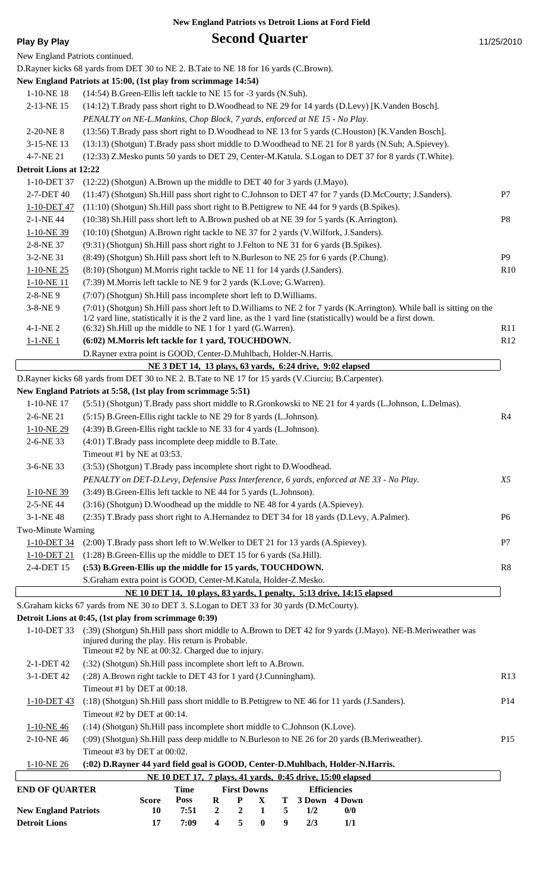|  | Play By Play |
|--|--------------|
|  |              |

# **Play By Play Play Play Cond Quarter By Play Play Play Play Play Play Cond Quarter Play Play Play Play Play Play Play Play Play Play Play Play Play Play Play Play Play**

| New England Patriots continued.                                                                         |                                                                                                                                                  |                           |                            |                           |                                 |          |        |     |                                                                                                                        |                       |
|---------------------------------------------------------------------------------------------------------|--------------------------------------------------------------------------------------------------------------------------------------------------|---------------------------|----------------------------|---------------------------|---------------------------------|----------|--------|-----|------------------------------------------------------------------------------------------------------------------------|-----------------------|
| D. Rayner kicks 68 yards from DET 30 to NE 2. B. Tate to NE 18 for 16 yards (C. Brown).                 |                                                                                                                                                  |                           |                            |                           |                                 |          |        |     |                                                                                                                        |                       |
| New England Patriots at 15:00, (1st play from scrimmage 14:54)                                          |                                                                                                                                                  |                           |                            |                           |                                 |          |        |     |                                                                                                                        |                       |
| $1-10-NE$ 18                                                                                            | (14:54) B. Green-Ellis left tackle to NE 15 for -3 yards (N.Suh).                                                                                |                           |                            |                           |                                 |          |        |     |                                                                                                                        |                       |
| 2-13-NE 15                                                                                              |                                                                                                                                                  |                           |                            |                           |                                 |          |        |     | (14:12) T.Brady pass short right to D.Woodhead to NE 29 for 14 yards (D.Levy) [K.Vanden Bosch].                        |                       |
|                                                                                                         | PENALTY on NE-L.Mankins, Chop Block, 7 yards, enforced at NE 15 - No Play.                                                                       |                           |                            |                           |                                 |          |        |     |                                                                                                                        |                       |
| 2-20-NE8                                                                                                |                                                                                                                                                  |                           |                            |                           |                                 |          |        |     | (13:56) T.Brady pass short right to D.Woodhead to NE 13 for 5 yards (C.Houston) [K.Vanden Bosch].                      |                       |
| 3-15-NE 13                                                                                              |                                                                                                                                                  |                           |                            |                           |                                 |          |        |     | (13:13) (Shotgun) T.Brady pass short middle to D.Woodhead to NE 21 for 8 yards (N.Suh; A.Spievey).                     |                       |
| 4-7-NE 21                                                                                               |                                                                                                                                                  |                           |                            |                           |                                 |          |        |     | (12:33) Z.Mesko punts 50 yards to DET 29, Center-M.Katula. S.Logan to DET 37 for 8 yards (T.White).                    |                       |
| Detroit Lions at 12:22                                                                                  |                                                                                                                                                  |                           |                            |                           |                                 |          |        |     |                                                                                                                        |                       |
| 1-10-DET 37                                                                                             | (12:22) (Shotgun) A.Brown up the middle to DET 40 for 3 yards (J.Mayo).                                                                          |                           |                            |                           |                                 |          |        |     |                                                                                                                        |                       |
| 2-7-DET 40                                                                                              |                                                                                                                                                  |                           |                            |                           |                                 |          |        |     | (11:47) (Shotgun) Sh.Hill pass short right to C.Johnson to DET 47 for 7 yards (D.McCourty; J.Sanders).                 | P7                    |
| 1-10-DET 47                                                                                             |                                                                                                                                                  |                           |                            |                           |                                 |          |        |     | (11:10) (Shotgun) Sh.Hill pass short right to B.Pettigrew to NE 44 for 9 yards (B.Spikes).                             |                       |
| 2-1-NE 44                                                                                               |                                                                                                                                                  |                           |                            |                           |                                 |          |        |     | (10:38) Sh.Hill pass short left to A.Brown pushed ob at NE 39 for 5 yards (K.Arrington).                               | P <sub>8</sub>        |
| 1-10-NE 39<br>2-8-NE 37                                                                                 | (10:10) (Shotgun) A.Brown right tackle to NE 37 for 2 yards (V.Wilfork, J.Sanders).                                                              |                           |                            |                           |                                 |          |        |     |                                                                                                                        |                       |
|                                                                                                         | (9:31) (Shotgun) Sh.Hill pass short right to J.Felton to NE 31 for 6 yards (B.Spikes).                                                           |                           |                            |                           |                                 |          |        |     |                                                                                                                        |                       |
| 3-2-NE 31                                                                                               |                                                                                                                                                  |                           |                            |                           |                                 |          |        |     | (8:49) (Shotgun) Sh.Hill pass short left to N.Burleson to NE 25 for 6 yards (P.Chung).                                 | P <sub>9</sub><br>R10 |
| $1-10-NE$ 25                                                                                            | (8:10) (Shotgun) M.Morris right tackle to NE 11 for 14 yards (J.Sanders).<br>(7:39) M.Morris left tackle to NE 9 for 2 yards (K.Love; G.Warren). |                           |                            |                           |                                 |          |        |     |                                                                                                                        |                       |
| 1-10-NE11<br>2-8-NE9                                                                                    | (7:07) (Shotgun) Sh.Hill pass incomplete short left to D.Williams.                                                                               |                           |                            |                           |                                 |          |        |     |                                                                                                                        |                       |
| 3-8-NE9                                                                                                 |                                                                                                                                                  |                           |                            |                           |                                 |          |        |     | (7:01) (Shotgun) Sh.Hill pass short left to D.Williams to NE 2 for 7 yards (K.Arrington). While ball is sitting on the |                       |
|                                                                                                         |                                                                                                                                                  |                           |                            |                           |                                 |          |        |     | 1/2 yard line, statistically it is the 2 yard line, as the 1 yard line (statistically) would be a first down.          |                       |
| 4-1-NE 2                                                                                                | (6:32) Sh. Hill up the middle to NE 1 for 1 yard (G. Warren).                                                                                    |                           |                            |                           |                                 |          |        |     |                                                                                                                        | R11                   |
| $1 - 1 - NE$ 1                                                                                          | (6:02) M.Morris left tackle for 1 yard, TOUCHDOWN.                                                                                               |                           |                            |                           |                                 |          |        |     |                                                                                                                        | R12                   |
|                                                                                                         | D.Rayner extra point is GOOD, Center-D.Muhlbach, Holder-N.Harris.                                                                                |                           |                            |                           |                                 |          |        |     |                                                                                                                        |                       |
|                                                                                                         |                                                                                                                                                  |                           |                            |                           |                                 |          |        |     | NE 3 DET 14, 13 plays, 63 yards, 6:24 drive, 9:02 elapsed                                                              |                       |
| D. Rayner kicks 68 yards from DET 30 to NE 2. B. Tate to NE 17 for 15 yards (V. Ciurciu; B. Carpenter). |                                                                                                                                                  |                           |                            |                           |                                 |          |        |     |                                                                                                                        |                       |
| New England Patriots at 5:58, (1st play from scrimmage 5:51)                                            |                                                                                                                                                  |                           |                            |                           |                                 |          |        |     |                                                                                                                        |                       |
| 1-10-NE 17                                                                                              |                                                                                                                                                  |                           |                            |                           |                                 |          |        |     | (5:51) (Shotgun) T.Brady pass short middle to R.Gronkowski to NE 21 for 4 yards (L.Johnson, L.Delmas).                 |                       |
| 2-6-NE 21                                                                                               | (5:15) B.Green-Ellis right tackle to NE 29 for 8 yards (L.Johnson).                                                                              |                           |                            |                           |                                 |          |        |     |                                                                                                                        | R <sub>4</sub>        |
| 1-10-NE 29                                                                                              | (4:39) B.Green-Ellis right tackle to NE 33 for 4 yards (L.Johnson).                                                                              |                           |                            |                           |                                 |          |        |     |                                                                                                                        |                       |
| 2-6-NE 33                                                                                               | (4:01) T.Brady pass incomplete deep middle to B.Tate.                                                                                            |                           |                            |                           |                                 |          |        |     |                                                                                                                        |                       |
|                                                                                                         | Timeout #1 by NE at 03:53.                                                                                                                       |                           |                            |                           |                                 |          |        |     |                                                                                                                        |                       |
| 3-6-NE 33                                                                                               | (3:53) (Shotgun) T.Brady pass incomplete short right to D.Woodhead.                                                                              |                           |                            |                           |                                 |          |        |     |                                                                                                                        |                       |
|                                                                                                         |                                                                                                                                                  |                           |                            |                           |                                 |          |        |     | PENALTY on DET-D.Levy, Defensive Pass Interference, 6 yards, enforced at NE 33 - No Play.                              | X5                    |
| 1-10-NE 39                                                                                              | (3:49) B.Green-Ellis left tackle to NE 44 for 5 yards (L.Johnson).                                                                               |                           |                            |                           |                                 |          |        |     |                                                                                                                        |                       |
| 2-5-NE 44                                                                                               | (3:16) (Shotgun) D. Woodhead up the middle to NE 48 for 4 yards (A. Spievey).                                                                    |                           |                            |                           |                                 |          |        |     |                                                                                                                        |                       |
| 3-1-NE 48                                                                                               |                                                                                                                                                  |                           |                            |                           |                                 |          |        |     | (2:35) T.Brady pass short right to A.Hernandez to DET 34 for 18 yards (D.Levy, A.Palmer).                              | P <sub>6</sub>        |
| Two-Minute Warning                                                                                      |                                                                                                                                                  |                           |                            |                           |                                 |          |        |     |                                                                                                                        |                       |
| 1-10-DET 34                                                                                             | (2:00) T.Brady pass short left to W.Welker to DET 21 for 13 yards (A.Spievey).                                                                   |                           |                            |                           |                                 |          |        |     |                                                                                                                        | P7                    |
| 1-10-DET 21                                                                                             | (1:28) B. Green-Ellis up the middle to DET 15 for 6 yards (Sa. Hill).                                                                            |                           |                            |                           |                                 |          |        |     |                                                                                                                        |                       |
| 2-4-DET 15                                                                                              | (:53) B.Green-Ellis up the middle for 15 yards, TOUCHDOWN.                                                                                       |                           |                            |                           |                                 |          |        |     |                                                                                                                        | R8                    |
|                                                                                                         | S.Graham extra point is GOOD, Center-M.Katula, Holder-Z.Mesko.                                                                                   |                           |                            |                           |                                 |          |        |     |                                                                                                                        |                       |
| S.Graham kicks 67 yards from NE 30 to DET 3. S.Logan to DET 33 for 30 yards (D.McCourty).               |                                                                                                                                                  |                           |                            |                           |                                 |          |        |     | NE 10 DET 14, 10 plays, 83 yards, 1 penalty, 5:13 drive, 14:15 elapsed                                                 |                       |
| Detroit Lions at 0:45, (1st play from scrimmage 0:39)                                                   |                                                                                                                                                  |                           |                            |                           |                                 |          |        |     |                                                                                                                        |                       |
| 1-10-DET 33                                                                                             |                                                                                                                                                  |                           |                            |                           |                                 |          |        |     | (:39) (Shotgun) Sh.Hill pass short middle to A.Brown to DET 42 for 9 yards (J.Mayo). NE-B.Meriweather was              |                       |
|                                                                                                         | injured during the play. His return is Probable.<br>Timeout #2 by NE at 00:32. Charged due to injury.                                            |                           |                            |                           |                                 |          |        |     |                                                                                                                        |                       |
| 2-1-DET 42                                                                                              | (:32) (Shotgun) Sh.Hill pass incomplete short left to A.Brown.                                                                                   |                           |                            |                           |                                 |          |        |     |                                                                                                                        |                       |
| 3-1-DET 42                                                                                              | (:28) A.Brown right tackle to DET 43 for 1 yard (J.Cunningham).                                                                                  |                           |                            |                           |                                 |          |        |     |                                                                                                                        | R13                   |
|                                                                                                         | Timeout #1 by DET at 00:18.                                                                                                                      |                           |                            |                           |                                 |          |        |     |                                                                                                                        |                       |
| 1-10-DET 43                                                                                             |                                                                                                                                                  |                           |                            |                           |                                 |          |        |     | (:18) (Shotgun) Sh.Hill pass short middle to B.Pettigrew to NE 46 for 11 yards (J.Sanders).                            | P <sub>14</sub>       |
|                                                                                                         | Timeout #2 by DET at 00:14.                                                                                                                      |                           |                            |                           |                                 |          |        |     |                                                                                                                        |                       |
| $1-10-NE$ 46                                                                                            | (:14) (Shotgun) Sh.Hill pass incomplete short middle to C.Johnson (K.Love).                                                                      |                           |                            |                           |                                 |          |        |     |                                                                                                                        |                       |
| 2-10-NE46                                                                                               |                                                                                                                                                  |                           |                            |                           |                                 |          |        |     | (:09) (Shotgun) Sh.Hill pass deep middle to N.Burleson to NE 26 for 20 yards (B.Meriweather).                          | P <sub>15</sub>       |
|                                                                                                         | Timeout #3 by DET at 00:02.                                                                                                                      |                           |                            |                           |                                 |          |        |     |                                                                                                                        |                       |
| $1-10-NE$ 26                                                                                            |                                                                                                                                                  |                           |                            |                           |                                 |          |        |     | (:02) D.Rayner 44 yard field goal is GOOD, Center-D.Muhlbach, Holder-N.Harris.                                         |                       |
|                                                                                                         |                                                                                                                                                  |                           |                            |                           |                                 |          |        |     | NE 10 DET 17, 7 plays, 41 yards, 0:45 drive, 15:00 elapsed                                                             |                       |
| <b>END OF QUARTER</b>                                                                                   |                                                                                                                                                  |                           | <b>Time</b><br><b>Poss</b> |                           | <b>First Downs</b><br>${\bf P}$ |          |        |     | <b>Efficiencies</b><br>3 Down 4 Down                                                                                   |                       |
| <b>New England Patriots</b>                                                                             |                                                                                                                                                  | <b>Score</b><br><b>10</b> | 7:51                       | $\bf R$<br>$\overline{2}$ | 2                               | X<br>1   | Т<br>5 | 1/2 | 0/0                                                                                                                    |                       |
| <b>Detroit Lions</b>                                                                                    |                                                                                                                                                  | 17                        | 7:09                       | 4                         | 5                               | $\bf{0}$ | 9      | 2/3 | 1/1                                                                                                                    |                       |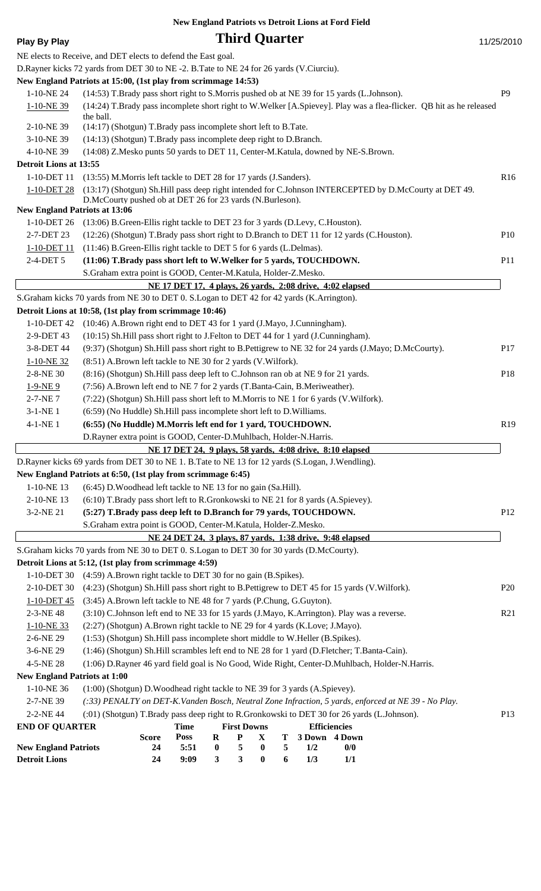**Play By Play** 11/25/2010 NE elects to Receive, and DET elects to defend the East goal. D.Rayner kicks 72 yards from DET 30 to NE -2. B.Tate to NE 24 for 26 yards (V.Ciurciu). **New England Patriots at 15:00, (1st play from scrimmage 14:53)** 1-10-NE 24 (14:53) T.Brady pass short right to S.Morris pushed ob at NE 39 for 15 yards (L.Johnson). P9 (14:24) T.Brady pass incomplete short right to W.Welker [A.Spievey]. Play was a flea-flicker. QB hit as he released the ball. 1-10-NE 39 2-10-NE 39 (14:17) (Shotgun) T.Brady pass incomplete short left to B.Tate. 3-10-NE 39 (14:13) (Shotgun) T.Brady pass incomplete deep right to D.Branch. 4-10-NE 39 (14:08) Z.Mesko punts 50 yards to DET 11, Center-M.Katula, downed by NE-S.Brown. **Detroit Lions at 13:55** 1-10-DET 11 (13:55) M.Morris left tackle to DET 28 for 17 yards (J.Sanders). R16 (13:17) (Shotgun) Sh.Hill pass deep right intended for C.Johnson INTERCEPTED by D.McCourty at DET 49. D.McCourty pushed ob at DET 26 for 23 yards (N.Burleson). 1-10-DET 28 **New England Patriots at 13:06** 1-10-DET 26 (13:06) B.Green-Ellis right tackle to DET 23 for 3 yards (D.Levy, C.Houston). 2-7-DET 23 (12:26) (Shotgun) T.Brady pass short right to D.Branch to DET 11 for 12 yards (C.Houston). P10 1-10-DET 11 (11:46) B.Green-Ellis right tackle to DET 5 for 6 yards (L.Delmas). 2-4-DET 5 **(11:06) T.Brady pass short left to W.Welker for 5 yards, TOUCHDOWN.** P11 S.Graham extra point is GOOD, Center-M.Katula, Holder-Z.Mesko.  **NE 17 DET 17, 4 plays, 26 yards, 2:08 drive, 4:02 elapsed** S.Graham kicks 70 yards from NE 30 to DET 0. S.Logan to DET 42 for 42 yards (K.Arrington). **Detroit Lions at 10:58, (1st play from scrimmage 10:46)** 1-10-DET 42 (10:46) A.Brown right end to DET 43 for 1 yard (J.Mayo, J.Cunningham). 2-9-DET 43 (10:15) Sh.Hill pass short right to J.Felton to DET 44 for 1 yard (J.Cunningham). 3-8-DET 44 (9:37) (Shotgun) Sh.Hill pass short right to B.Pettigrew to NE 32 for 24 yards (J.Mayo; D.McCourty). P17 1-10-NE 32 (8:51) A.Brown left tackle to NE 30 for 2 yards (V.Wilfork). 2-8-NE 30 (8:16) (Shotgun) Sh.Hill pass deep left to C.Johnson ran ob at NE 9 for 21 yards. P18 1-9-NE 9 (7:56) A.Brown left end to NE 7 for 2 yards (T.Banta-Cain, B.Meriweather). 2-7-NE 7 (7:22) (Shotgun) Sh.Hill pass short left to M.Morris to NE 1 for 6 yards (V.Wilfork). 3-1-NE 1 (6:59) (No Huddle) Sh.Hill pass incomplete short left to D.Williams. 4-1-NE 1 **(6:55) (No Huddle) M.Morris left end for 1 yard, TOUCHDOWN.** R19 D.Rayner extra point is GOOD, Center-D.Muhlbach, Holder-N.Harris.  **NE 17 DET 24, 9 plays, 58 yards, 4:08 drive, 8:10 elapsed** D.Rayner kicks 69 yards from DET 30 to NE 1. B.Tate to NE 13 for 12 yards (S.Logan, J.Wendling). **New England Patriots at 6:50, (1st play from scrimmage 6:45)** 1-10-NE 13 (6:45) D.Woodhead left tackle to NE 13 for no gain (Sa.Hill). 2-10-NE 13 (6:10) T.Brady pass short left to R.Gronkowski to NE 21 for 8 yards (A.Spievey). 3-2-NE 21 **(5:27) T.Brady pass deep left to D.Branch for 79 yards, TOUCHDOWN.** P12 S.Graham extra point is GOOD, Center-M.Katula, Holder-Z.Mesko.  **NE 24 DET 24, 3 plays, 87 yards, 1:38 drive, 9:48 elapsed** S.Graham kicks 70 yards from NE 30 to DET 0. S.Logan to DET 30 for 30 yards (D.McCourty). **Detroit Lions at 5:12, (1st play from scrimmage 4:59)** 1-10-DET 30 (4:59) A.Brown right tackle to DET 30 for no gain (B.Spikes). 2-10-DET 30 (4:23) (Shotgun) Sh.Hill pass short right to B.Pettigrew to DET 45 for 15 yards (V.Wilfork). P20 1-10-DET 45 (3:45) A.Brown left tackle to NE 48 for 7 yards (P.Chung, G.Guyton). 2-3-NE 48 (3:10) C.Johnson left end to NE 33 for 15 yards (J.Mayo, K.Arrington). Play was a reverse. R21 1-10-NE 33 (2:27) (Shotgun) A.Brown right tackle to NE 29 for 4 yards (K.Love; J.Mayo). 2-6-NE 29 (1:53) (Shotgun) Sh.Hill pass incomplete short middle to W.Heller (B.Spikes). 3-6-NE 29 (1:46) (Shotgun) Sh.Hill scrambles left end to NE 28 for 1 yard (D.Fletcher; T.Banta-Cain). 4-5-NE 28 (1:06) D.Rayner 46 yard field goal is No Good, Wide Right, Center-D.Muhlbach, Holder-N.Harris. **New England Patriots at 1:00** 1-10-NE 36 (1:00) (Shotgun) D.Woodhead right tackle to NE 39 for 3 yards (A.Spievey). 2-7-NE 39 *(:33) PENALTY on DET-K.Vanden Bosch, Neutral Zone Infraction, 5 yards, enforced at NE 39 - No Play.* 2-2-NE 44 (:01) (Shotgun) T.Brady pass deep right to R.Gronkowski to DET 30 for 26 yards (L.Johnson). P13 **END OF QUARTER New England Patriots 24 5:51 0 5 0 5 1/2 0/0 Detroit Lions 24 9:09 3 3 0 6 1/3 1/1 Score Time Poss First Downs R P X T Efficiencies 3 Down 4 Down**

**New England Patriots vs Detroit Lions at Ford Field**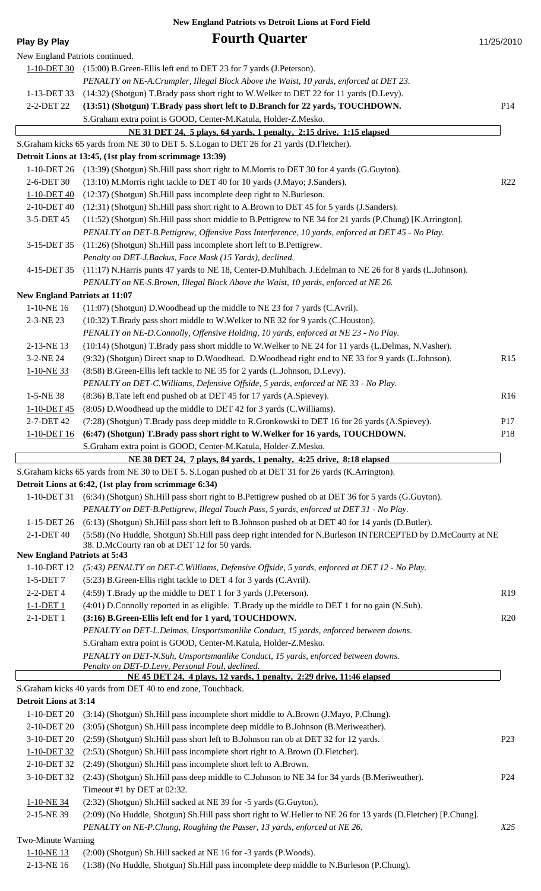| <b>Play By Play</b>                  | <b>Fourth Quarter</b>                                                                                                                                                                                      | 11/25/2010      |
|--------------------------------------|------------------------------------------------------------------------------------------------------------------------------------------------------------------------------------------------------------|-----------------|
| New England Patriots continued.      |                                                                                                                                                                                                            |                 |
| 1-10-DET 30                          | (15:00) B.Green-Ellis left end to DET 23 for 7 yards (J.Peterson).                                                                                                                                         |                 |
|                                      | PENALTY on NE-A.Crumpler, Illegal Block Above the Waist, 10 yards, enforced at DET 23.                                                                                                                     |                 |
| 1-13-DET 33                          | (14:32) (Shotgun) T.Brady pass short right to W.Welker to DET 22 for 11 yards (D.Levy).                                                                                                                    |                 |
| 2-2-DET 22                           | (13:51) (Shotgun) T.Brady pass short left to D.Branch for 22 yards, TOUCHDOWN.                                                                                                                             | P <sub>14</sub> |
|                                      | S.Graham extra point is GOOD, Center-M.Katula, Holder-Z.Mesko.                                                                                                                                             |                 |
|                                      | NE 31 DET 24, 5 plays, 64 yards, 1 penalty, 2:15 drive, 1:15 elapsed                                                                                                                                       |                 |
|                                      | S.Graham kicks 65 yards from NE 30 to DET 5. S.Logan to DET 26 for 21 yards (D.Fletcher).                                                                                                                  |                 |
|                                      | Detroit Lions at 13:45, (1st play from scrimmage 13:39)                                                                                                                                                    |                 |
| 1-10-DET 26                          | (13:39) (Shotgun) Sh.Hill pass short right to M.Morris to DET 30 for 4 yards (G.Guyton).                                                                                                                   |                 |
| 2-6-DET 30                           | (13:10) M.Morris right tackle to DET 40 for 10 yards (J.Mayo; J.Sanders).                                                                                                                                  | R22             |
| 1-10-DET 40<br>2-10-DET 40           | (12:37) (Shotgun) Sh. Hill pass incomplete deep right to N. Burleson.<br>(12:31) (Shotgun) Sh.Hill pass short right to A.Brown to DET 45 for 5 yards (J.Sanders).                                          |                 |
| 3-5-DET 45                           | (11:52) (Shotgun) Sh.Hill pass short middle to B.Pettigrew to NE 34 for 21 yards (P.Chung) [K.Arrington].                                                                                                  |                 |
|                                      | PENALTY on DET-B.Pettigrew, Offensive Pass Interference, 10 yards, enforced at DET 45 - No Play.                                                                                                           |                 |
| 3-15-DET 35                          | (11:26) (Shotgun) Sh. Hill pass incomplete short left to B. Pettigrew.                                                                                                                                     |                 |
|                                      | Penalty on DET-J.Backus, Face Mask (15 Yards), declined.                                                                                                                                                   |                 |
| 4-15-DET 35                          | (11:17) N.Harris punts 47 yards to NE 18, Center-D.Muhlbach. J.Edelman to NE 26 for 8 yards (L.Johnson).                                                                                                   |                 |
|                                      | PENALTY on NE-S.Brown, Illegal Block Above the Waist, 10 yards, enforced at NE 26.                                                                                                                         |                 |
| <b>New England Patriots at 11:07</b> |                                                                                                                                                                                                            |                 |
| $1-10-NE$ 16                         | (11:07) (Shotgun) D. Woodhead up the middle to NE 23 for 7 yards (C. Avril).                                                                                                                               |                 |
| 2-3-NE 23                            | (10:32) T.Brady pass short middle to W.Welker to NE 32 for 9 yards (C.Houston).                                                                                                                            |                 |
|                                      | PENALTY on NE-D.Connolly, Offensive Holding, 10 yards, enforced at NE 23 - No Play.                                                                                                                        |                 |
| 2-13-NE 13<br>3-2-NE 24              | (10:14) (Shotgun) T.Brady pass short middle to W.Welker to NE 24 for 11 yards (L.Delmas, N.Vasher).<br>(9:32) (Shotgun) Direct snap to D.Woodhead. D.Woodhead right end to NE 33 for 9 yards (L.Johnson).  | R15             |
| 1-10-NE 33                           | (8:58) B.Green-Ellis left tackle to NE 35 for 2 yards (L.Johnson, D.Levy).                                                                                                                                 |                 |
|                                      | PENALTY on DET-C. Williams, Defensive Offside, 5 yards, enforced at NE 33 - No Play.                                                                                                                       |                 |
| 1-5-NE 38                            | (8:36) B. Tate left end pushed ob at DET 45 for 17 yards (A. Spievey).                                                                                                                                     | R <sub>16</sub> |
| 1-10-DET 45                          | (8:05) D. Woodhead up the middle to DET 42 for 3 yards (C. Williams).                                                                                                                                      |                 |
| 2-7-DET 42                           | (7:28) (Shotgun) T.Brady pass deep middle to R.Gronkowski to DET 16 for 26 yards (A.Spievey).                                                                                                              | P17             |
|                                      | 1-10-DET 16 (6:47) (Shotgun) T.Brady pass short right to W.Welker for 16 yards, TOUCHDOWN.                                                                                                                 | P18             |
|                                      | S.Graham extra point is GOOD, Center-M.Katula, Holder-Z.Mesko.                                                                                                                                             |                 |
|                                      | NE 38 DET 24, 7 plays, 84 yards, 1 penalty, 4:25 drive, 8:18 elapsed                                                                                                                                       |                 |
|                                      | S.Graham kicks 65 yards from NE 30 to DET 5. S.Logan pushed ob at DET 31 for 26 yards (K.Arrington).                                                                                                       |                 |
|                                      | Detroit Lions at 6:42, (1st play from scrimmage 6:34)                                                                                                                                                      |                 |
|                                      | 1-10-DET 31 (6:34) (Shotgun) Sh.Hill pass short right to B.Pettigrew pushed ob at DET 36 for 5 yards (G.Guyton).<br>PENALTY on DET-B.Pettigrew, Illegal Touch Pass, 5 yards, enforced at DET 31 - No Play. |                 |
| 1-15-DET 26                          | (6:13) (Shotgun) Sh.Hill pass short left to B.Johnson pushed ob at DET 40 for 14 yards (D.Butler).                                                                                                         |                 |
| 2-1-DET 40                           | (5:58) (No Huddle, Shotgun) Sh.Hill pass deep right intended for N.Burleson INTERCEPTED by D.McCourty at NE                                                                                                |                 |
|                                      | 38. D.McCourty ran ob at DET 12 for 50 yards.                                                                                                                                                              |                 |
| <b>New England Patriots at 5:43</b>  |                                                                                                                                                                                                            |                 |
| 1-10-DET 12                          | (5:43) PENALTY on DET-C. Williams, Defensive Offside, 5 yards, enforced at DET 12 - No Play.                                                                                                               |                 |
| 1-5-DET 7                            | (5:23) B. Green-Ellis right tackle to DET 4 for 3 yards (C. Avril).                                                                                                                                        |                 |
| 2-2-DET 4                            | (4:59) T.Brady up the middle to DET 1 for 3 yards (J.Peterson).<br>(4:01) D.Connolly reported in as eligible. T.Brady up the middle to DET 1 for no gain (N.Suh).                                          | R19             |
| $1-1-DET1$<br>2-1-DET 1              | (3:16) B.Green-Ellis left end for 1 yard, TOUCHDOWN.                                                                                                                                                       | R <sub>20</sub> |
|                                      | PENALTY on DET-L.Delmas, Unsportsmanlike Conduct, 15 yards, enforced between downs.                                                                                                                        |                 |
|                                      | S.Graham extra point is GOOD, Center-M.Katula, Holder-Z.Mesko.                                                                                                                                             |                 |
|                                      | PENALTY on DET-N.Suh, Unsportsmanlike Conduct, 15 yards, enforced between downs.                                                                                                                           |                 |
|                                      | Penalty on DET-D.Levy, Personal Foul, declined.                                                                                                                                                            |                 |
|                                      | NE 45 DET 24, 4 plays, 12 yards, 1 penalty, 2:29 drive, 11:46 elapsed                                                                                                                                      |                 |
| <b>Detroit Lions at 3:14</b>         | S.Graham kicks 40 yards from DET 40 to end zone, Touchback.                                                                                                                                                |                 |
| 1-10-DET 20                          | (3:14) (Shotgun) Sh.Hill pass incomplete short middle to A.Brown (J.Mayo, P.Chung).                                                                                                                        |                 |
| 2-10-DET 20                          | (3:05) (Shotgun) Sh.Hill pass incomplete deep middle to B.Johnson (B.Meriweather).                                                                                                                         |                 |
| 3-10-DET 20                          | (2:59) (Shotgun) Sh.Hill pass short left to B.Johnson ran ob at DET 32 for 12 yards.                                                                                                                       | P <sub>23</sub> |
| 1-10-DET 32                          | (2:53) (Shotgun) Sh.Hill pass incomplete short right to A.Brown (D.Fletcher).                                                                                                                              |                 |
| 2-10-DET 32                          | (2:49) (Shotgun) Sh.Hill pass incomplete short left to A.Brown.                                                                                                                                            |                 |
| 3-10-DET 32                          | (2:43) (Shotgun) Sh.Hill pass deep middle to C.Johnson to NE 34 for 34 yards (B.Meriweather).                                                                                                              | P <sub>24</sub> |
|                                      | Timeout #1 by DET at 02:32.                                                                                                                                                                                |                 |
| $1-10-NE$ 34                         | (2:32) (Shotgun) Sh.Hill sacked at NE 39 for -5 yards (G.Guyton).                                                                                                                                          |                 |
| 2-15-NE 39                           | (2:09) (No Huddle, Shotgun) Sh.Hill pass short right to W.Heller to NE 26 for 13 yards (D.Fletcher) [P.Chung].                                                                                             |                 |
|                                      | PENALTY on NE-P.Chung, Roughing the Passer, 13 yards, enforced at NE 26.                                                                                                                                   | X25             |
| <b>Two-Minute Warning</b>            |                                                                                                                                                                                                            |                 |
| 1-10-NE13<br>2-13-NE 16              | (2:00) (Shotgun) Sh.Hill sacked at NE 16 for -3 yards (P.Woods).<br>(1:38) (No Huddle, Shotgun) Sh.Hill pass incomplete deep middle to N.Burleson (P.Chung).                                               |                 |
|                                      |                                                                                                                                                                                                            |                 |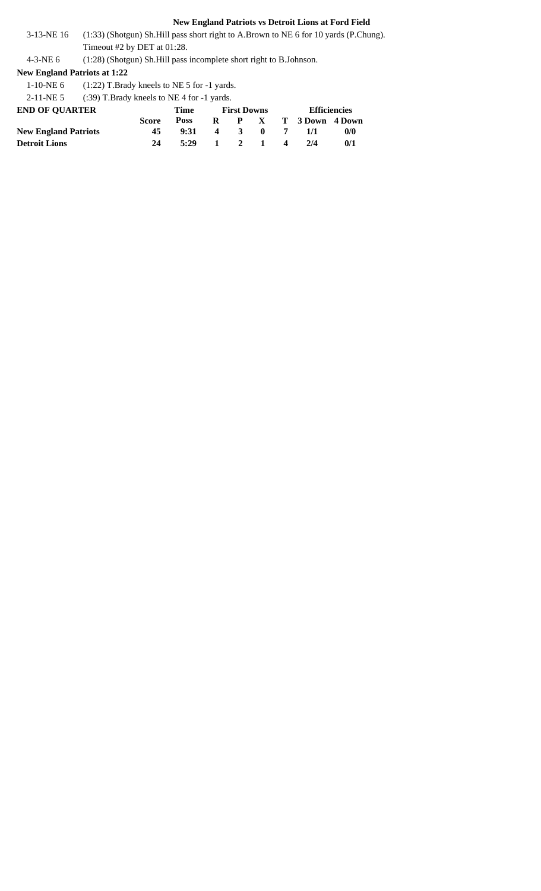3-13-NE 16 (1:33) (Shotgun) Sh.Hill pass short right to A.Brown to NE 6 for 10 yards (P.Chung). Timeout #2 by DET at 01:28.

4-3-NE 6 (1:28) (Shotgun) Sh.Hill pass incomplete short right to B.Johnson.

### **New England Patriots at 1:22**

1-10-NE 6 (1:22) T.Brady kneels to NE 5 for -1 yards.

2-11-NE 5 (:39) T.Brady kneels to NE 4 for -1 yards.

| <b>END OF OUARTER</b>       |        | Time           | <b>First Downs</b> |                |                | <b>Efficiencies</b>   |               |
|-----------------------------|--------|----------------|--------------------|----------------|----------------|-----------------------|---------------|
|                             | Score. | Poss           |                    |                |                | R P X T 3 Down 4 Down |               |
| <b>New England Patriots</b> | 45.    | 9:31           |                    | $\mathbf{A}$ 3 | $\mathbf{0}$ 7 | -1/1                  | $\frac{0}{0}$ |
| <b>Detroit Lions</b>        | 24     | $5:29$ 1 2 1 4 |                    |                |                | 2/4                   | 0/1           |